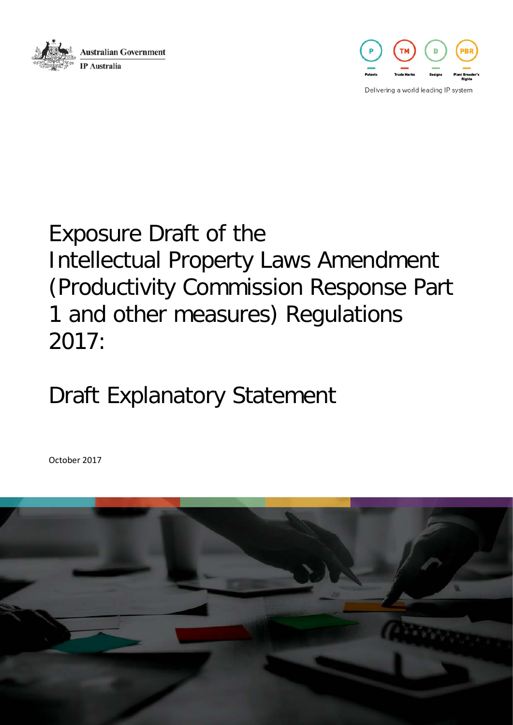



Delivering a world leading IP system

# Exposure Draft of the Intellectual Property Laws Amendment (Productivity Commission Response Part 1 and other measures) Regulations 2017:

# Draft Explanatory Statement

October 2017

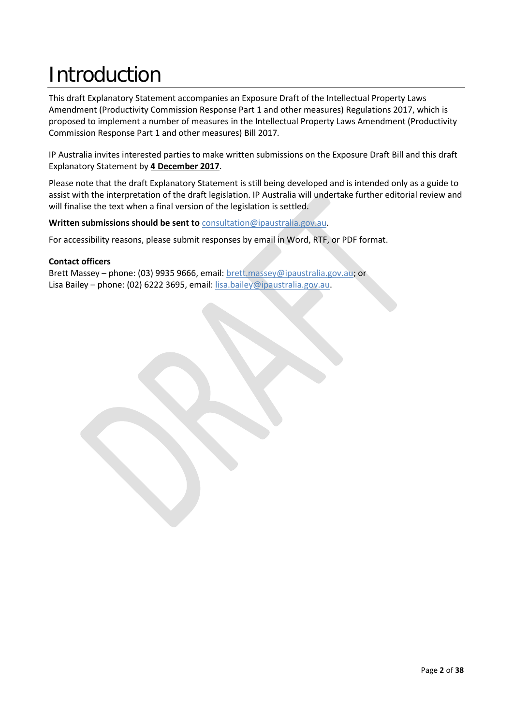# Introduction

This draft Explanatory Statement accompanies an Exposure Draft of the Intellectual Property Laws Amendment (Productivity Commission Response Part 1 and other measures) Regulations 2017, which is proposed to implement a number of measures in the Intellectual Property Laws Amendment (Productivity Commission Response Part 1 and other measures) Bill 2017*.* 

IP Australia invites interested parties to make written submissions on the Exposure Draft Bill and this draft Explanatory Statement by **4 December 2017**.

Please note that the draft Explanatory Statement is still being developed and is intended only as a guide to assist with the interpretation of the draft legislation. IP Australia will undertake further editorial review and will finalise the text when a final version of the legislation is settled.

#### **Written submissions should be sent to** [consultation@ipaustralia.gov.au.](mailto:consultation@ipaustralia.gov.au?subject=RIO%20Public%20Consultation)

For accessibility reasons, please submit responses by email in Word, RTF, or PDF format.

#### **Contact officers**

Brett Massey – phone: (03) 9935 9666, email[: brett.massey@ipaustralia.gov.au;](mailto:brett.massey@ipaustralia.gov.au) or Lisa Bailey – phone: (02) 6222 3695, email: [lisa.bailey@ipaustralia.gov.au.](mailto:lisa.bailey@ipaustralia.gov.au?subject=RIO%20Public%20Consultation)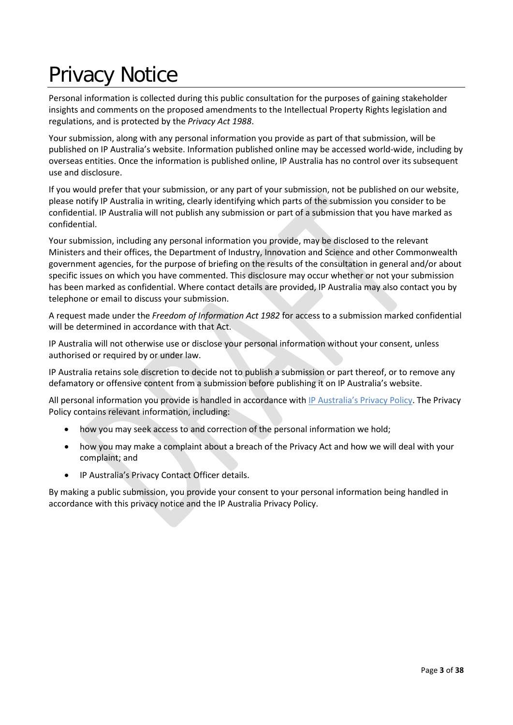# Privacy Notice

Personal information is collected during this public consultation for the purposes of gaining stakeholder insights and comments on the proposed amendments to the Intellectual Property Rights legislation and regulations, and is protected by the *Privacy Act 1988*.

Your submission, along with any personal information you provide as part of that submission, will be published on IP Australia's website. Information published online may be accessed world-wide, including by overseas entities. Once the information is published online, IP Australia has no control over its subsequent use and disclosure.

If you would prefer that your submission, or any part of your submission, not be published on our website, please notify IP Australia in writing, clearly identifying which parts of the submission you consider to be confidential. IP Australia will not publish any submission or part of a submission that you have marked as confidential.

Your submission, including any personal information you provide, may be disclosed to the relevant Ministers and their offices, the Department of Industry, Innovation and Science and other Commonwealth government agencies, for the purpose of briefing on the results of the consultation in general and/or about specific issues on which you have commented. This disclosure may occur whether or not your submission has been marked as confidential. Where contact details are provided, IP Australia may also contact you by telephone or email to discuss your submission.

A request made under the *Freedom of Information Act 1982* for access to a submission marked confidential will be determined in accordance with that Act.

IP Australia will not otherwise use or disclose your personal information without your consent, unless authorised or required by or under law.

IP Australia retains sole discretion to decide not to publish a submission or part thereof, or to remove any defamatory or offensive content from a submission before publishing it on IP Australia's website.

All personal information you provide is handled in accordance with [IP Australia's Privacy Policy.](http://www.ipaustralia.gov.au/about-us/agency-overview/privacy-policy) The Privacy Policy contains relevant information, including:

- how you may seek access to and correction of the personal information we hold;
- how you may make a complaint about a breach of the Privacy Act and how we will deal with your complaint; and
- IP Australia's Privacy Contact Officer details.

By making a public submission, you provide your consent to your personal information being handled in accordance with this privacy notice and the IP Australia Privacy Policy.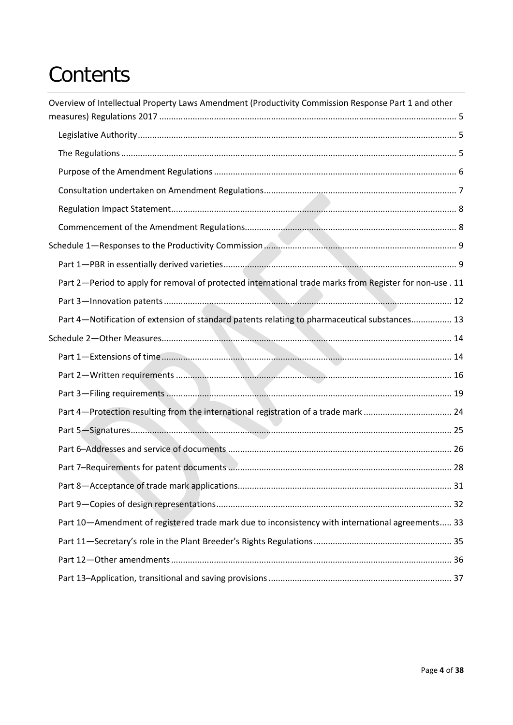# **Contents**

| Overview of Intellectual Property Laws Amendment (Productivity Commission Response Part 1 and other      |  |
|----------------------------------------------------------------------------------------------------------|--|
|                                                                                                          |  |
|                                                                                                          |  |
|                                                                                                          |  |
|                                                                                                          |  |
|                                                                                                          |  |
|                                                                                                          |  |
|                                                                                                          |  |
|                                                                                                          |  |
|                                                                                                          |  |
| Part 2-Period to apply for removal of protected international trade marks from Register for non-use . 11 |  |
|                                                                                                          |  |
| Part 4-Notification of extension of standard patents relating to pharmaceutical substances 13            |  |
|                                                                                                          |  |
|                                                                                                          |  |
|                                                                                                          |  |
|                                                                                                          |  |
|                                                                                                          |  |
|                                                                                                          |  |
|                                                                                                          |  |
|                                                                                                          |  |
|                                                                                                          |  |
|                                                                                                          |  |
| Part 10-Amendment of registered trade mark due to inconsistency with international agreements 33         |  |
|                                                                                                          |  |
|                                                                                                          |  |
|                                                                                                          |  |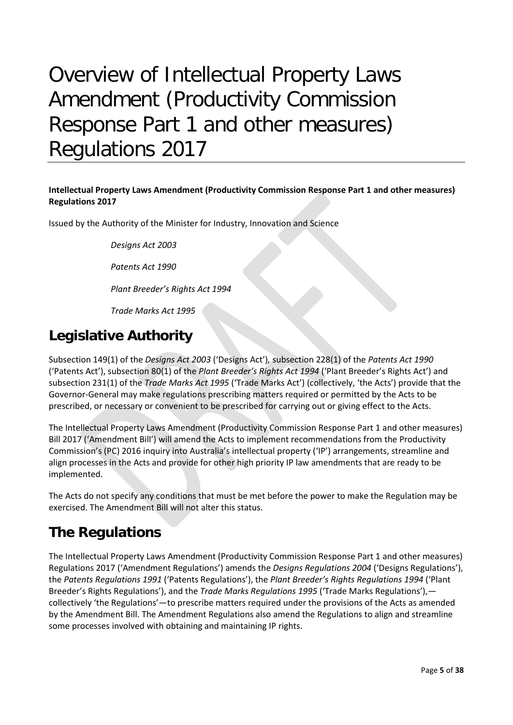# <span id="page-4-0"></span>Overview of Intellectual Property Laws Amendment (Productivity Commission Response Part 1 and other measures) Regulations 2017

#### **Intellectual Property Laws Amendment (Productivity Commission Response Part 1 and other measures) Regulations 2017**

Issued by the Authority of the Minister for Industry, Innovation and Science

*Designs Act 2003*

*Patents Act 1990*

*Plant Breeder's Rights Act 1994*

*Trade Marks Act 1995*

# <span id="page-4-1"></span>**Legislative Authority**

Subsection 149(1) of the *Designs Act 2003* ('Designs Act')*,* subsection 228(1) of the *Patents Act 1990*  ('Patents Act'), subsection 80(1) of the *Plant Breeder's Rights Act 1994* ('Plant Breeder's Rights Act') and subsection 231(1) of the *Trade Marks Act 1995* ('Trade Marks Act') (collectively, 'the Acts') provide that the Governor-General may make regulations prescribing matters required or permitted by the Acts to be prescribed, or necessary or convenient to be prescribed for carrying out or giving effect to the Acts.

The Intellectual Property Laws Amendment (Productivity Commission Response Part 1 and other measures) Bill 2017 ('Amendment Bill') will amend the Acts to implement recommendations from the Productivity Commission's (PC) 2016 inquiry into Australia's intellectual property ('IP') arrangements, streamline and align processes in the Acts and provide for other high priority IP law amendments that are ready to be implemented.

The Acts do not specify any conditions that must be met before the power to make the Regulation may be exercised. The Amendment Bill will not alter this status.

# <span id="page-4-2"></span>**The Regulations**

The Intellectual Property Laws Amendment (Productivity Commission Response Part 1 and other measures) Regulations 2017 ('Amendment Regulations') amends the *Designs Regulations 2004* ('Designs Regulations'), the *Patents Regulations 1991* ('Patents Regulations'), the *Plant Breeder's Rights Regulations 1994* ('Plant Breeder's Rights Regulations'), and the *Trade Marks Regulations 1995* ('Trade Marks Regulations'), collectively 'the Regulations'—to prescribe matters required under the provisions of the Acts as amended by the Amendment Bill. The Amendment Regulations also amend the Regulations to align and streamline some processes involved with obtaining and maintaining IP rights.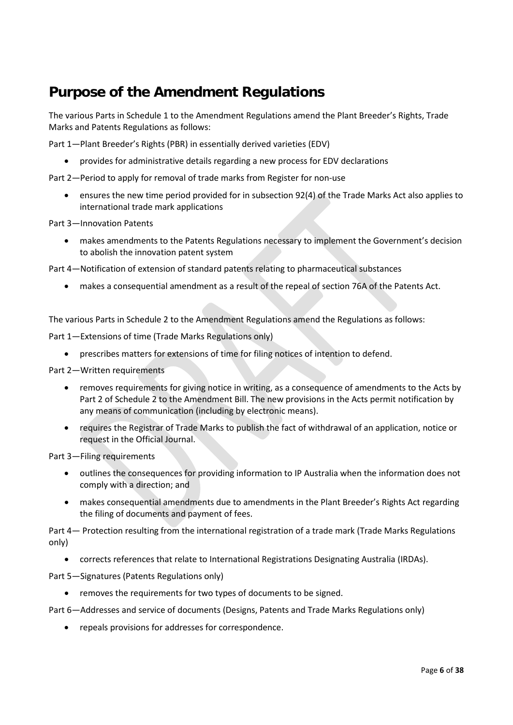# <span id="page-5-0"></span>**Purpose of the Amendment Regulations**

The various Parts in Schedule 1 to the Amendment Regulations amend the Plant Breeder's Rights, Trade Marks and Patents Regulations as follows:

Part 1—Plant Breeder's Rights (PBR) in essentially derived varieties (EDV)

• provides for administrative details regarding a new process for EDV declarations

Part 2—Period to apply for removal of trade marks from Register for non-use

• ensures the new time period provided for in subsection 92(4) of the Trade Marks Act also applies to international trade mark applications

Part 3—Innovation Patents

• makes amendments to the Patents Regulations necessary to implement the Government's decision to abolish the innovation patent system

Part 4—Notification of extension of standard patents relating to pharmaceutical substances

• makes a consequential amendment as a result of the repeal of section 76A of the Patents Act.

The various Parts in Schedule 2 to the Amendment Regulations amend the Regulations as follows:

Part 1—Extensions of time (Trade Marks Regulations only)

• prescribes matters for extensions of time for filing notices of intention to defend.

Part 2—Written requirements

- removes requirements for giving notice in writing, as a consequence of amendments to the Acts by Part 2 of Schedule 2 to the Amendment Bill. The new provisions in the Acts permit notification by any means of communication (including by electronic means).
- requires the Registrar of Trade Marks to publish the fact of withdrawal of an application, notice or request in the Official Journal.

Part 3—Filing requirements

- outlines the consequences for providing information to IP Australia when the information does not comply with a direction; and
- makes consequential amendments due to amendments in the Plant Breeder's Rights Act regarding the filing of documents and payment of fees.

Part 4— Protection resulting from the international registration of a trade mark (Trade Marks Regulations only)

• corrects references that relate to International Registrations Designating Australia (IRDAs).

Part 5—Signatures (Patents Regulations only)

• removes the requirements for two types of documents to be signed.

Part 6—Addresses and service of documents (Designs, Patents and Trade Marks Regulations only)

• repeals provisions for addresses for correspondence.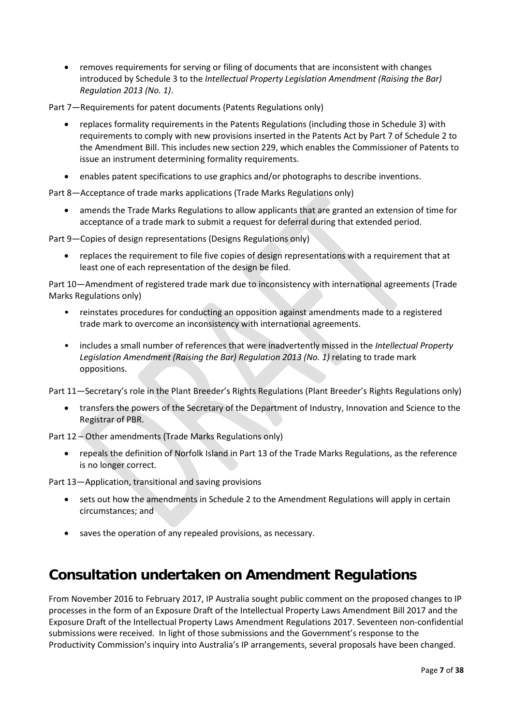• removes requirements for serving or filing of documents that are inconsistent with changes introduced by Schedule 3 to the *Intellectual Property Legislation Amendment (Raising the Bar) Regulation 2013 (No. 1)*.

Part 7—Requirements for patent documents (Patents Regulations only)

- replaces formality requirements in the Patents Regulations (including those in Schedule 3) with requirements to comply with new provisions inserted in the Patents Act by Part 7 of Schedule 2 to the Amendment Bill. This includes new section 229, which enables the Commissioner of Patents to issue an instrument determining formality requirements.
- enables patent specifications to use graphics and/or photographs to describe inventions.

Part 8—Acceptance of trade marks applications (Trade Marks Regulations only)

• amends the Trade Marks Regulations to allow applicants that are granted an extension of time for acceptance of a trade mark to submit a request for deferral during that extended period.

Part 9—Copies of design representations (Designs Regulations only)

• replaces the requirement to file five copies of design representations with a requirement that at least one of each representation of the design be filed.

Part 10—Amendment of registered trade mark due to inconsistency with international agreements (Trade Marks Regulations only)

- reinstates procedures for conducting an opposition against amendments made to a registered trade mark to overcome an inconsistency with international agreements.
- includes a small number of references that were inadvertently missed in the *Intellectual Property Legislation Amendment (Raising the Bar) Regulation 2013 (No. 1)* relating to trade mark oppositions.

Part 11—Secretary's role in the Plant Breeder's Rights Regulations (Plant Breeder's Rights Regulations only)

• transfers the powers of the Secretary of the Department of Industry, Innovation and Science to the Registrar of PBR.

Part 12 – Other amendments (Trade Marks Regulations only)

• repeals the definition of Norfolk Island in Part 13 of the Trade Marks Regulations, as the reference is no longer correct*.*

Part 13—Application, transitional and saving provisions

- sets out how the amendments in Schedule 2 to the Amendment Regulations will apply in certain circumstances; and
- saves the operation of any repealed provisions, as necessary.

## <span id="page-6-0"></span>**Consultation undertaken on Amendment Regulations**

From November 2016 to February 2017, IP Australia sought public comment on the proposed changes to IP processes in the form of an Exposure Draft of the Intellectual Property Laws Amendment Bill 2017 and the Exposure Draft of the Intellectual Property Laws Amendment Regulations 2017. Seventeen non-confidential submissions were received. In light of those submissions and the Government's response to the Productivity Commission's inquiry into Australia's IP arrangements, several proposals have been changed.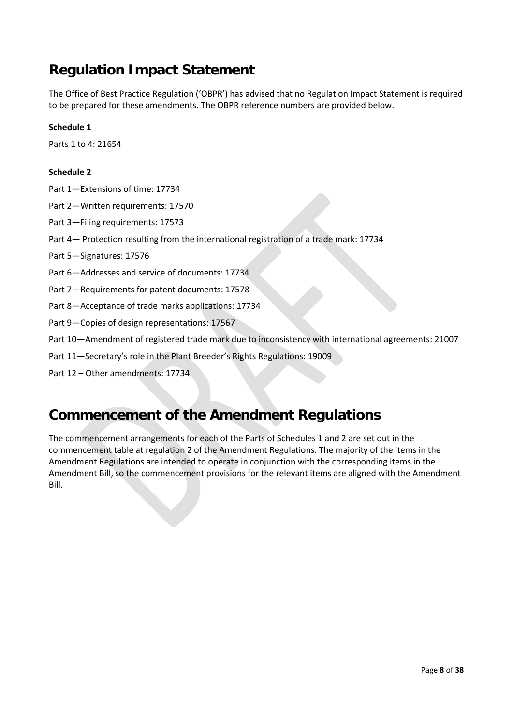# <span id="page-7-0"></span>**Regulation Impact Statement**

The Office of Best Practice Regulation ('OBPR') has advised that no Regulation Impact Statement is required to be prepared for these amendments. The OBPR reference numbers are provided below.

#### **Schedule 1**

Parts 1 to 4: 21654

#### **Schedule 2**

- Part 1—Extensions of time: 17734
- Part 2—Written requirements: 17570
- Part 3—Filing requirements: 17573
- Part 4— Protection resulting from the international registration of a trade mark: 17734
- Part 5—Signatures: 17576
- Part 6—Addresses and service of documents: 17734
- Part 7—Requirements for patent documents: 17578
- Part 8—Acceptance of trade marks applications: 17734
- Part 9—Copies of design representations: 17567
- Part 10—Amendment of registered trade mark due to inconsistency with international agreements: 21007
- Part 11—Secretary's role in the Plant Breeder's Rights Regulations: 19009
- Part 12 Other amendments: 17734

# <span id="page-7-1"></span>**Commencement of the Amendment Regulations**

The commencement arrangements for each of the Parts of Schedules 1 and 2 are set out in the commencement table at regulation 2 of the Amendment Regulations. The majority of the items in the Amendment Regulations are intended to operate in conjunction with the corresponding items in the Amendment Bill, so the commencement provisions for the relevant items are aligned with the Amendment Bill.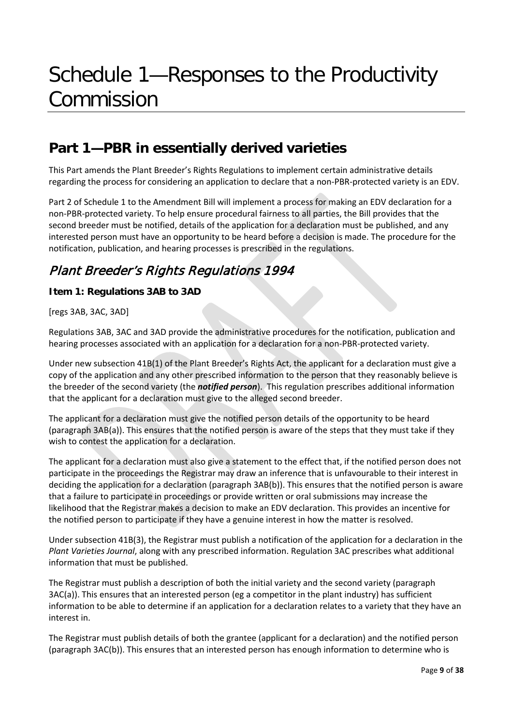# <span id="page-8-0"></span>Schedule 1—Responses to the Productivity Commission

# <span id="page-8-1"></span>**Part 1—PBR in essentially derived varieties**

This Part amends the Plant Breeder's Rights Regulations to implement certain administrative details regarding the process for considering an application to declare that a non-PBR-protected variety is an EDV.

Part 2 of Schedule 1 to the Amendment Bill will implement a process for making an EDV declaration for a non-PBR-protected variety. To help ensure procedural fairness to all parties, the Bill provides that the second breeder must be notified, details of the application for a declaration must be published, and any interested person must have an opportunity to be heard before a decision is made. The procedure for the notification, publication, and hearing processes is prescribed in the regulations.

## Plant Breeder's Rights Regulations 1994

#### **Item 1: Regulations 3AB to 3AD**

[regs 3AB, 3AC, 3AD]

Regulations 3AB, 3AC and 3AD provide the administrative procedures for the notification, publication and hearing processes associated with an application for a declaration for a non-PBR-protected variety.

Under new subsection 41B(1) of the Plant Breeder's Rights Act, the applicant for a declaration must give a copy of the application and any other prescribed information to the person that they reasonably believe is the breeder of the second variety (the *notified person*). This regulation prescribes additional information that the applicant for a declaration must give to the alleged second breeder.

The applicant for a declaration must give the notified person details of the opportunity to be heard (paragraph 3AB(a)). This ensures that the notified person is aware of the steps that they must take if they wish to contest the application for a declaration.

The applicant for a declaration must also give a statement to the effect that, if the notified person does not participate in the proceedings the Registrar may draw an inference that is unfavourable to their interest in deciding the application for a declaration (paragraph 3AB(b)). This ensures that the notified person is aware that a failure to participate in proceedings or provide written or oral submissions may increase the likelihood that the Registrar makes a decision to make an EDV declaration. This provides an incentive for the notified person to participate if they have a genuine interest in how the matter is resolved.

Under subsection 41B(3), the Registrar must publish a notification of the application for a declaration in the *Plant Varieties Journal*, along with any prescribed information. Regulation 3AC prescribes what additional information that must be published.

The Registrar must publish a description of both the initial variety and the second variety (paragraph 3AC(a)). This ensures that an interested person (eg a competitor in the plant industry) has sufficient information to be able to determine if an application for a declaration relates to a variety that they have an interest in.

The Registrar must publish details of both the grantee (applicant for a declaration) and the notified person (paragraph 3AC(b)). This ensures that an interested person has enough information to determine who is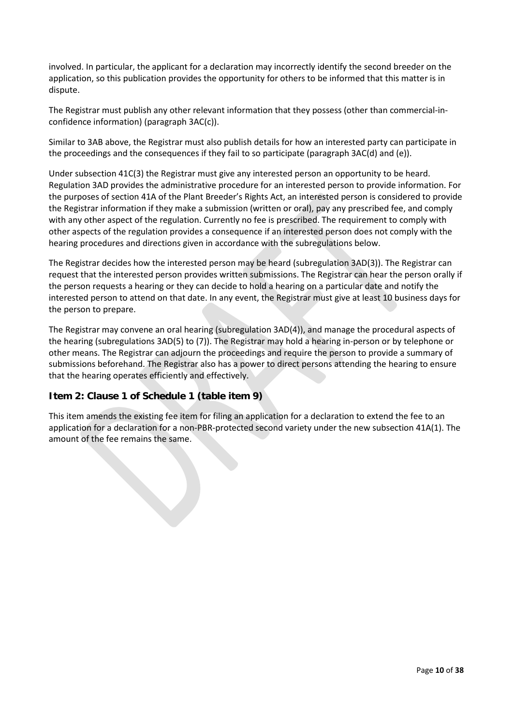involved. In particular, the applicant for a declaration may incorrectly identify the second breeder on the application, so this publication provides the opportunity for others to be informed that this matter is in dispute.

The Registrar must publish any other relevant information that they possess (other than commercial-inconfidence information) (paragraph 3AC(c)).

Similar to 3AB above, the Registrar must also publish details for how an interested party can participate in the proceedings and the consequences if they fail to so participate (paragraph 3AC(d) and (e)).

Under subsection 41C(3) the Registrar must give any interested person an opportunity to be heard. Regulation 3AD provides the administrative procedure for an interested person to provide information. For the purposes of section 41A of the Plant Breeder's Rights Act, an interested person is considered to provide the Registrar information if they make a submission (written or oral), pay any prescribed fee, and comply with any other aspect of the regulation. Currently no fee is prescribed. The requirement to comply with other aspects of the regulation provides a consequence if an interested person does not comply with the hearing procedures and directions given in accordance with the subregulations below.

The Registrar decides how the interested person may be heard (subregulation 3AD(3)). The Registrar can request that the interested person provides written submissions. The Registrar can hear the person orally if the person requests a hearing or they can decide to hold a hearing on a particular date and notify the interested person to attend on that date. In any event, the Registrar must give at least 10 business days for the person to prepare.

The Registrar may convene an oral hearing (subregulation 3AD(4)), and manage the procedural aspects of the hearing (subregulations 3AD(5) to (7)). The Registrar may hold a hearing in-person or by telephone or other means. The Registrar can adjourn the proceedings and require the person to provide a summary of submissions beforehand. The Registrar also has a power to direct persons attending the hearing to ensure that the hearing operates efficiently and effectively.

#### **Item 2: Clause 1 of Schedule 1 (table item 9)**

This item amends the existing fee item for filing an application for a declaration to extend the fee to an application for a declaration for a non-PBR-protected second variety under the new subsection 41A(1). The amount of the fee remains the same.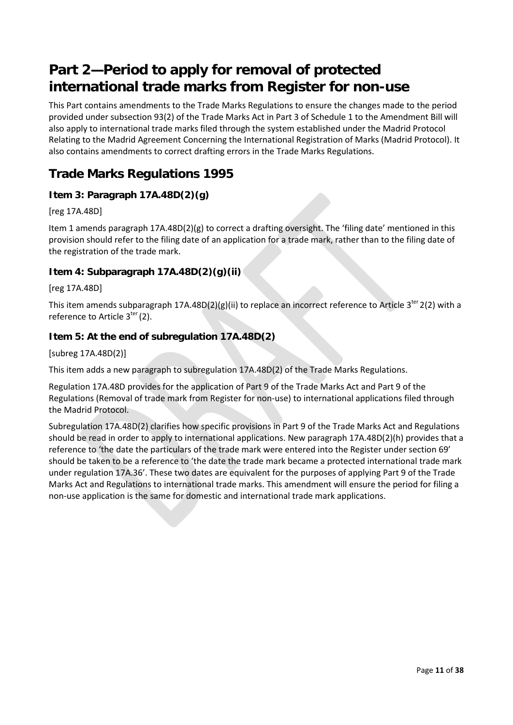# <span id="page-10-0"></span>**Part 2—Period to apply for removal of protected international trade marks from Register for non-use**

This Part contains amendments to the Trade Marks Regulations to ensure the changes made to the period provided under subsection 93(2) of the Trade Marks Act in Part 3 of Schedule 1 to the Amendment Bill will also apply to international trade marks filed through the system established under the Madrid Protocol Relating to the Madrid Agreement Concerning the International Registration of Marks (Madrid Protocol). It also contains amendments to correct drafting errors in the Trade Marks Regulations.

### **Trade Marks Regulations 1995**

#### **Item 3: Paragraph 17A.48D(2)(g)**

#### [reg 17A.48D]

Item 1 amends paragraph 17A.48D(2)(g) to correct a drafting oversight. The 'filing date' mentioned in this provision should refer to the filing date of an application for a trade mark, rather than to the filing date of the registration of the trade mark.

#### **Item 4: Subparagraph 17A.48D(2)(g)(ii)**

[reg 17A.48D]

This item amends subparagraph 17A.48D(2)(g)(ii) to replace an incorrect reference to Article 3<sup>ter</sup> 2(2) with a reference to Article  $3<sup>ter</sup> (2)$ .

#### **Item 5: At the end of subregulation 17A.48D(2)**

[subreg 17A.48D(2)]

This item adds a new paragraph to subregulation 17A.48D(2) of the Trade Marks Regulations.

Regulation 17A.48D provides for the application of Part 9 of the Trade Marks Act and Part 9 of the Regulations (Removal of trade mark from Register for non-use) to international applications filed through the Madrid Protocol.

Subregulation 17A.48D(2) clarifies how specific provisions in Part 9 of the Trade Marks Act and Regulations should be read in order to apply to international applications. New paragraph 17A.48D(2)(h) provides that a reference to 'the date the particulars of the trade mark were entered into the Register under section 69' should be taken to be a reference to 'the date the trade mark became a protected international trade mark under regulation 17A.36'. These two dates are equivalent for the purposes of applying Part 9 of the Trade Marks Act and Regulations to international trade marks. This amendment will ensure the period for filing a non-use application is the same for domestic and international trade mark applications.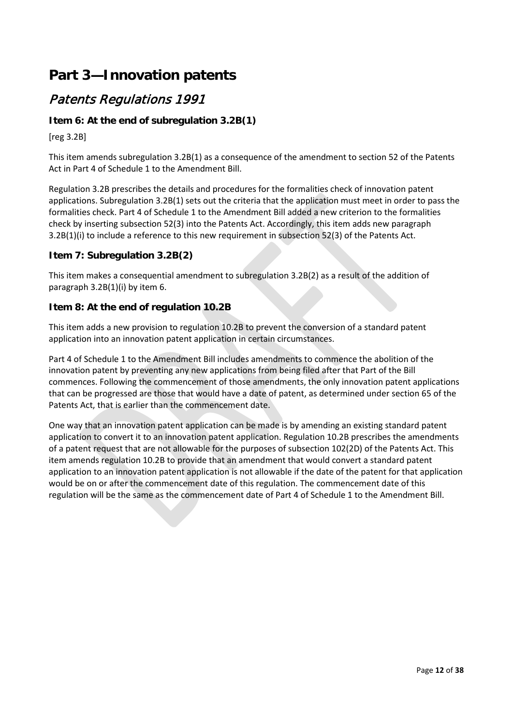# <span id="page-11-0"></span>**Part 3—Innovation patents**

### Patents Regulations 1991

#### **Item 6: At the end of subregulation 3.2B(1)**

[reg 3.2B]

This item amends subregulation 3.2B(1) as a consequence of the amendment to section 52 of the Patents Act in Part 4 of Schedule 1 to the Amendment Bill.

Regulation 3.2B prescribes the details and procedures for the formalities check of innovation patent applications. Subregulation 3.2B(1) sets out the criteria that the application must meet in order to pass the formalities check. Part 4 of Schedule 1 to the Amendment Bill added a new criterion to the formalities check by inserting subsection 52(3) into the Patents Act. Accordingly, this item adds new paragraph 3.2B(1)(i) to include a reference to this new requirement in subsection 52(3) of the Patents Act.

#### **Item 7: Subregulation 3.2B(2)**

This item makes a consequential amendment to subregulation 3.2B(2) as a result of the addition of paragraph 3.2B(1)(i) by item 6.

#### **Item 8: At the end of regulation 10.2B**

This item adds a new provision to regulation 10.2B to prevent the conversion of a standard patent application into an innovation patent application in certain circumstances.

Part 4 of Schedule 1 to the Amendment Bill includes amendments to commence the abolition of the innovation patent by preventing any new applications from being filed after that Part of the Bill commences. Following the commencement of those amendments, the only innovation patent applications that can be progressed are those that would have a date of patent, as determined under section 65 of the Patents Act, that is earlier than the commencement date.

One way that an innovation patent application can be made is by amending an existing standard patent application to convert it to an innovation patent application. Regulation 10.2B prescribes the amendments of a patent request that are not allowable for the purposes of subsection 102(2D) of the Patents Act. This item amends regulation 10.2B to provide that an amendment that would convert a standard patent application to an innovation patent application is not allowable if the date of the patent for that application would be on or after the commencement date of this regulation. The commencement date of this regulation will be the same as the commencement date of Part 4 of Schedule 1 to the Amendment Bill.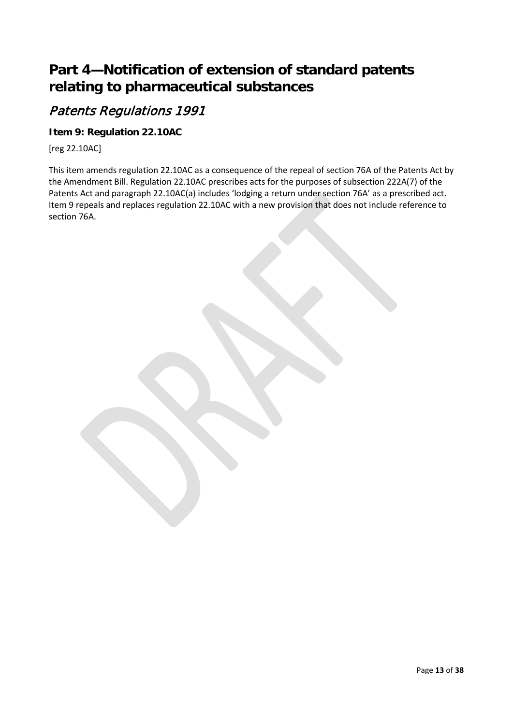# <span id="page-12-0"></span>**Part 4—Notification of extension of standard patents relating to pharmaceutical substances**

### Patents Regulations 1991

#### **Item 9: Regulation 22.10AC**

[reg 22.10AC]

This item amends regulation 22.10AC as a consequence of the repeal of section 76A of the Patents Act by the Amendment Bill. Regulation 22.10AC prescribes acts for the purposes of subsection 222A(7) of the Patents Act and paragraph 22.10AC(a) includes 'lodging a return under section 76A' as a prescribed act. Item 9 repeals and replaces regulation 22.10AC with a new provision that does not include reference to section 76A.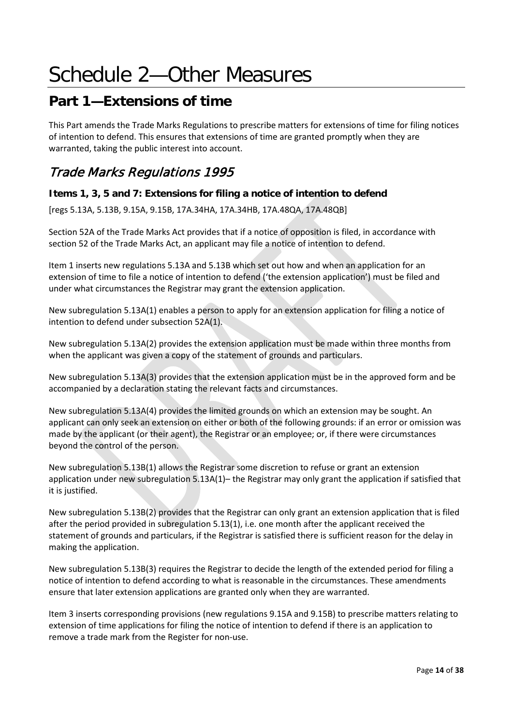# <span id="page-13-0"></span>Schedule 2—Other Measures

# <span id="page-13-1"></span>**Part 1—Extensions of time**

This Part amends the Trade Marks Regulations to prescribe matters for extensions of time for filing notices of intention to defend. This ensures that extensions of time are granted promptly when they are warranted, taking the public interest into account.

### Trade Marks Regulations 1995

#### **Items 1, 3, 5 and 7: Extensions for filing a notice of intention to defend**

[regs 5.13A, 5.13B, 9.15A, 9.15B, 17A.34HA, 17A.34HB, 17A.48QA, 17A.48QB]

Section 52A of the Trade Marks Act provides that if a notice of opposition is filed, in accordance with section 52 of the Trade Marks Act, an applicant may file a notice of intention to defend.

Item 1 inserts new regulations 5.13A and 5.13B which set out how and when an application for an extension of time to file a notice of intention to defend ('the extension application') must be filed and under what circumstances the Registrar may grant the extension application.

New subregulation 5.13A(1) enables a person to apply for an extension application for filing a notice of intention to defend under subsection 52A(1).

New subregulation 5.13A(2) provides the extension application must be made within three months from when the applicant was given a copy of the statement of grounds and particulars.

New subregulation 5.13A(3) provides that the extension application must be in the approved form and be accompanied by a declaration stating the relevant facts and circumstances.

New subregulation 5.13A(4) provides the limited grounds on which an extension may be sought. An applicant can only seek an extension on either or both of the following grounds: if an error or omission was made by the applicant (or their agent), the Registrar or an employee; or, if there were circumstances beyond the control of the person.

New subregulation 5.13B(1) allows the Registrar some discretion to refuse or grant an extension application under new subregulation 5.13A(1)– the Registrar may only grant the application if satisfied that it is justified.

New subregulation 5.13B(2) provides that the Registrar can only grant an extension application that is filed after the period provided in subregulation 5.13(1), i.e. one month after the applicant received the statement of grounds and particulars, if the Registrar is satisfied there is sufficient reason for the delay in making the application.

New subregulation 5.13B(3) requires the Registrar to decide the length of the extended period for filing a notice of intention to defend according to what is reasonable in the circumstances. These amendments ensure that later extension applications are granted only when they are warranted.

Item 3 inserts corresponding provisions (new regulations 9.15A and 9.15B) to prescribe matters relating to extension of time applications for filing the notice of intention to defend if there is an application to remove a trade mark from the Register for non-use.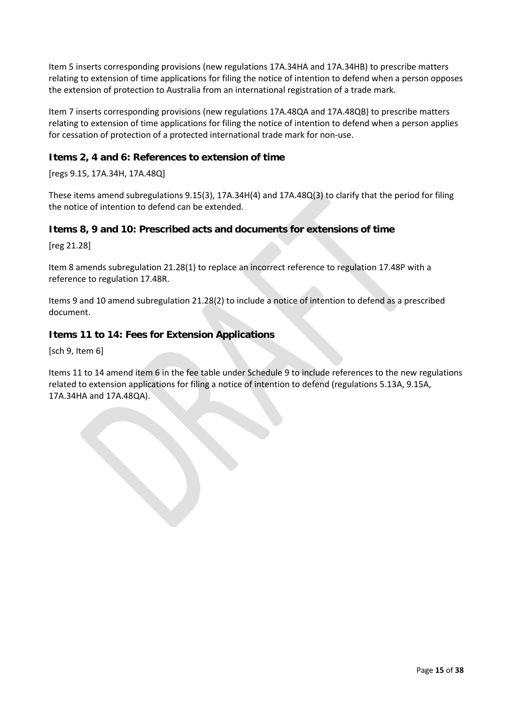Item 5 inserts corresponding provisions (new regulations 17A.34HA and 17A.34HB) to prescribe matters relating to extension of time applications for filing the notice of intention to defend when a person opposes the extension of protection to Australia from an international registration of a trade mark.

Item 7 inserts corresponding provisions (new regulations 17A.48QA and 17A.48QB) to prescribe matters relating to extension of time applications for filing the notice of intention to defend when a person applies for cessation of protection of a protected international trade mark for non-use.

#### **Items 2, 4 and 6: References to extension of time**

[regs 9.15, 17A.34H, 17A.48Q]

These items amend subregulations 9.15(3), 17A.34H(4) and 17A.48Q(3) to clarify that the period for filing the notice of intention to defend can be extended.

#### **Items 8, 9 and 10: Prescribed acts and documents for extensions of time**

[reg 21.28]

Item 8 amends subregulation 21.28(1) to replace an incorrect reference to regulation 17.48P with a reference to regulation 17.48R.

Items 9 and 10 amend subregulation 21.28(2) to include a notice of intention to defend as a prescribed document.

#### **Items 11 to 14: Fees for Extension Applications**

[sch 9, Item 6]

Items 11 to 14 amend item 6 in the fee table under Schedule 9 to include references to the new regulations related to extension applications for filing a notice of intention to defend (regulations 5.13A, 9.15A, 17A.34HA and 17A.48QA).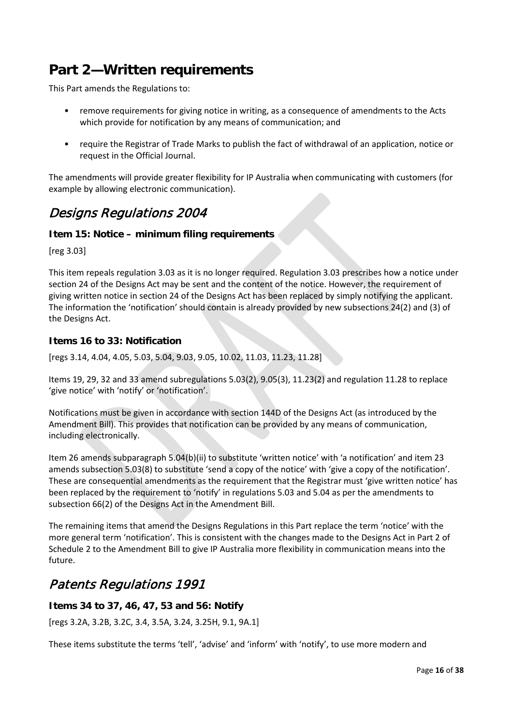# <span id="page-15-0"></span>**Part 2—Written requirements**

This Part amends the Regulations to:

- remove requirements for giving notice in writing, as a consequence of amendments to the Acts which provide for notification by any means of communication; and
- require the Registrar of Trade Marks to publish the fact of withdrawal of an application, notice or request in the Official Journal.

The amendments will provide greater flexibility for IP Australia when communicating with customers (for example by allowing electronic communication).

### Designs Regulations 2004

#### **Item 15: Notice – minimum filing requirements**

[reg 3.03]

This item repeals regulation 3.03 as it is no longer required. Regulation 3.03 prescribes how a notice under section 24 of the Designs Act may be sent and the content of the notice. However, the requirement of giving written notice in section 24 of the Designs Act has been replaced by simply notifying the applicant. The information the 'notification' should contain is already provided by new subsections 24(2) and (3) of the Designs Act.

#### **Items 16 to 33: Notification**

[regs 3.14, 4.04, 4.05, 5.03, 5.04, 9.03, 9.05, 10.02, 11.03, 11.23, 11.28]

Items 19, 29, 32 and 33 amend subregulations 5.03(2), 9.05(3), 11.23(2) and regulation 11.28 to replace 'give notice' with 'notify' or 'notification'.

Notifications must be given in accordance with section 144D of the Designs Act (as introduced by the Amendment Bill). This provides that notification can be provided by any means of communication, including electronically.

Item 26 amends subparagraph 5.04(b)(ii) to substitute 'written notice' with 'a notification' and item 23 amends subsection 5.03(8) to substitute 'send a copy of the notice' with 'give a copy of the notification'. These are consequential amendments as the requirement that the Registrar must 'give written notice' has been replaced by the requirement to 'notify' in regulations 5.03 and 5.04 as per the amendments to subsection 66(2) of the Designs Act in the Amendment Bill.

The remaining items that amend the Designs Regulations in this Part replace the term 'notice' with the more general term 'notification'. This is consistent with the changes made to the Designs Act in Part 2 of Schedule 2 to the Amendment Bill to give IP Australia more flexibility in communication means into the future.

## Patents Regulations 1991

#### **Items 34 to 37, 46, 47, 53 and 56: Notify**

[regs 3.2A, 3.2B, 3.2C, 3.4, 3.5A, 3.24, 3.25H, 9.1, 9A.1]

These items substitute the terms 'tell', 'advise' and 'inform' with 'notify', to use more modern and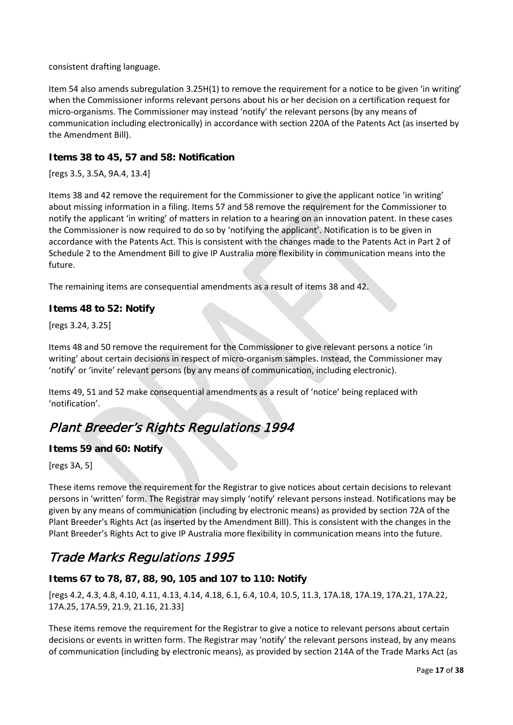consistent drafting language.

Item 54 also amends subregulation 3.25H(1) to remove the requirement for a notice to be given 'in writing' when the Commissioner informs relevant persons about his or her decision on a certification request for micro-organisms. The Commissioner may instead 'notify' the relevant persons (by any means of communication including electronically) in accordance with section 220A of the Patents Act (as inserted by the Amendment Bill).

#### **Items 38 to 45, 57 and 58: Notification**

[regs 3.5, 3.5A, 9A.4, 13.4]

Items 38 and 42 remove the requirement for the Commissioner to give the applicant notice 'in writing' about missing information in a filing. Items 57 and 58 remove the requirement for the Commissioner to notify the applicant 'in writing' of matters in relation to a hearing on an innovation patent. In these cases the Commissioner is now required to do so by 'notifying the applicant'. Notification is to be given in accordance with the Patents Act. This is consistent with the changes made to the Patents Act in Part 2 of Schedule 2 to the Amendment Bill to give IP Australia more flexibility in communication means into the future.

The remaining items are consequential amendments as a result of items 38 and 42.

#### **Items 48 to 52: Notify**

[regs 3.24, 3.25]

Items 48 and 50 remove the requirement for the Commissioner to give relevant persons a notice 'in writing' about certain decisions in respect of micro-organism samples. Instead, the Commissioner may 'notify' or 'invite' relevant persons (by any means of communication, including electronic).

Items 49, 51 and 52 make consequential amendments as a result of 'notice' being replaced with 'notification'.

## Plant Breeder's Rights Regulations 1994

#### **Items 59 and 60: Notify**

[regs 3A, 5]

These items remove the requirement for the Registrar to give notices about certain decisions to relevant persons in 'written' form. The Registrar may simply 'notify' relevant persons instead. Notifications may be given by any means of communication (including by electronic means) as provided by section 72A of the Plant Breeder's Rights Act (as inserted by the Amendment Bill). This is consistent with the changes in the Plant Breeder's Rights Act to give IP Australia more flexibility in communication means into the future.

### Trade Marks Regulations 1995

#### **Items 67 to 78, 87, 88, 90, 105 and 107 to 110: Notify**

[regs 4.2, 4.3, 4.8, 4.10, 4.11, 4.13, 4.14, 4.18, 6.1, 6.4, 10.4, 10.5, 11.3, 17A.18, 17A.19, 17A.21, 17A.22, 17A.25, 17A.59, 21.9, 21.16, 21.33]

These items remove the requirement for the Registrar to give a notice to relevant persons about certain decisions or events in written form. The Registrar may 'notify' the relevant persons instead, by any means of communication (including by electronic means), as provided by section 214A of the Trade Marks Act (as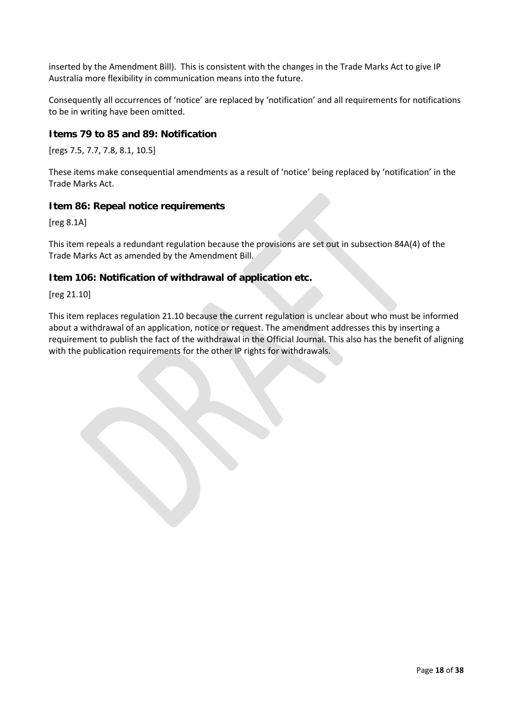inserted by the Amendment Bill). This is consistent with the changes in the Trade Marks Act to give IP Australia more flexibility in communication means into the future.

Consequently all occurrences of 'notice' are replaced by 'notification' and all requirements for notifications to be in writing have been omitted.

#### **Items 79 to 85 and 89: Notification**

[regs 7.5, 7.7, 7.8, 8.1, 10.5]

These items make consequential amendments as a result of 'notice' being replaced by 'notification' in the Trade Marks Act.

#### **Item 86: Repeal notice requirements**

[reg 8.1A]

This item repeals a redundant regulation because the provisions are set out in subsection 84A(4) of the Trade Marks Act as amended by the Amendment Bill.

#### **Item 106: Notification of withdrawal of application etc.**

[reg 21.10]

This item replaces regulation 21.10 because the current regulation is unclear about who must be informed about a withdrawal of an application, notice or request. The amendment addresses this by inserting a requirement to publish the fact of the withdrawal in the Official Journal. This also has the benefit of aligning with the publication requirements for the other IP rights for withdrawals.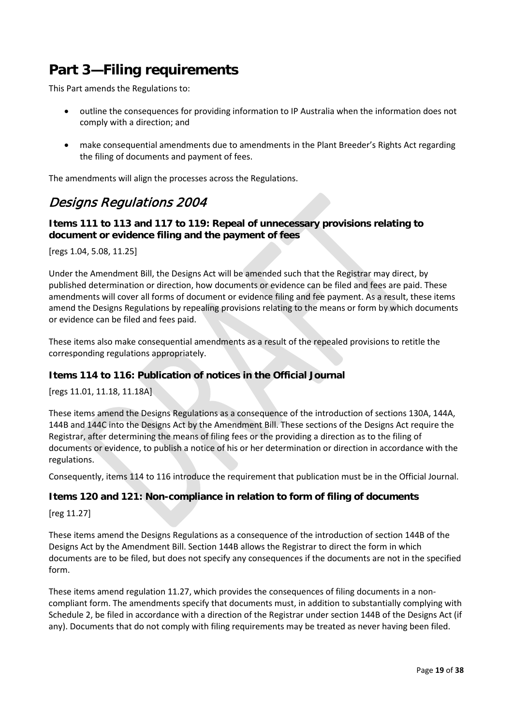# <span id="page-18-0"></span>**Part 3—Filing requirements**

This Part amends the Regulations to:

- outline the consequences for providing information to IP Australia when the information does not comply with a direction; and
- make consequential amendments due to amendments in the Plant Breeder's Rights Act regarding the filing of documents and payment of fees.

The amendments will align the processes across the Regulations.

### Designs Regulations 2004

#### **Items 111 to 113 and 117 to 119: Repeal of unnecessary provisions relating to document or evidence filing and the payment of fees**

[regs 1.04, 5.08, 11.25]

Under the Amendment Bill, the Designs Act will be amended such that the Registrar may direct, by published determination or direction, how documents or evidence can be filed and fees are paid. These amendments will cover all forms of document or evidence filing and fee payment. As a result, these items amend the Designs Regulations by repealing provisions relating to the means or form by which documents or evidence can be filed and fees paid.

These items also make consequential amendments as a result of the repealed provisions to retitle the corresponding regulations appropriately.

#### **Items 114 to 116: Publication of notices in the Official Journal**

[regs 11.01, 11.18, 11.18A]

These items amend the Designs Regulations as a consequence of the introduction of sections 130A, 144A, 144B and 144C into the Designs Act by the Amendment Bill. These sections of the Designs Act require the Registrar, after determining the means of filing fees or the providing a direction as to the filing of documents or evidence, to publish a notice of his or her determination or direction in accordance with the regulations.

Consequently, items 114 to 116 introduce the requirement that publication must be in the Official Journal.

#### **Items 120 and 121: Non-compliance in relation to form of filing of documents**

[reg 11.27]

These items amend the Designs Regulations as a consequence of the introduction of section 144B of the Designs Act by the Amendment Bill. Section 144B allows the Registrar to direct the form in which documents are to be filed, but does not specify any consequences if the documents are not in the specified form.

These items amend regulation 11.27, which provides the consequences of filing documents in a noncompliant form. The amendments specify that documents must, in addition to substantially complying with Schedule 2, be filed in accordance with a direction of the Registrar under section 144B of the Designs Act (if any). Documents that do not comply with filing requirements may be treated as never having been filed.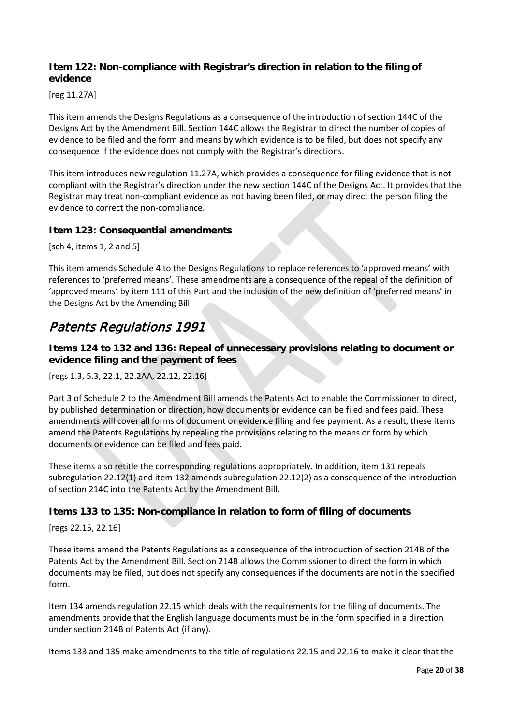#### **Item 122: Non-compliance with Registrar's direction in relation to the filing of evidence**

[reg 11.27A]

This item amends the Designs Regulations as a consequence of the introduction of section 144C of the Designs Act by the Amendment Bill. Section 144C allows the Registrar to direct the number of copies of evidence to be filed and the form and means by which evidence is to be filed, but does not specify any consequence if the evidence does not comply with the Registrar's directions.

This item introduces new regulation 11.27A, which provides a consequence for filing evidence that is not compliant with the Registrar's direction under the new section 144C of the Designs Act. It provides that the Registrar may treat non-compliant evidence as not having been filed, or may direct the person filing the evidence to correct the non-compliance.

#### **Item 123: Consequential amendments**

[sch 4, items 1, 2 and 5]

This item amends Schedule 4 to the Designs Regulations to replace references to 'approved means' with references to 'preferred means'. These amendments are a consequence of the repeal of the definition of 'approved means' by item 111 of this Part and the inclusion of the new definition of 'preferred means' in the Designs Act by the Amending Bill.

### Patents Regulations 1991

**Items 124 to 132 and 136: Repeal of unnecessary provisions relating to document or evidence filing and the payment of fees**

[regs 1.3, 5.3, 22.1, 22.2AA, 22.12, 22.16]

Part 3 of Schedule 2 to the Amendment Bill amends the Patents Act to enable the Commissioner to direct, by published determination or direction, how documents or evidence can be filed and fees paid. These amendments will cover all forms of document or evidence filing and fee payment. As a result, these items amend the Patents Regulations by repealing the provisions relating to the means or form by which documents or evidence can be filed and fees paid.

These items also retitle the corresponding regulations appropriately. In addition, item 131 repeals subregulation 22.12(1) and item 132 amends subregulation 22.12(2) as a consequence of the introduction of section 214C into the Patents Act by the Amendment Bill.

#### **Items 133 to 135: Non-compliance in relation to form of filing of documents**

[regs 22.15, 22.16]

These items amend the Patents Regulations as a consequence of the introduction of section 214B of the Patents Act by the Amendment Bill. Section 214B allows the Commissioner to direct the form in which documents may be filed, but does not specify any consequences if the documents are not in the specified form.

Item 134 amends regulation 22.15 which deals with the requirements for the filing of documents. The amendments provide that the English language documents must be in the form specified in a direction under section 214B of Patents Act (if any).

Items 133 and 135 make amendments to the title of regulations 22.15 and 22.16 to make it clear that the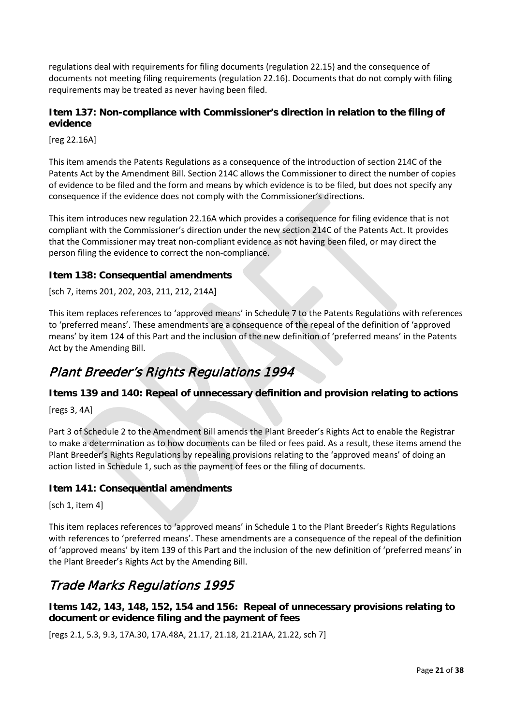regulations deal with requirements for filing documents (regulation 22.15) and the consequence of documents not meeting filing requirements (regulation 22.16). Documents that do not comply with filing requirements may be treated as never having been filed.

#### **Item 137: Non-compliance with Commissioner's direction in relation to the filing of evidence**

[reg 22.16A]

This item amends the Patents Regulations as a consequence of the introduction of section 214C of the Patents Act by the Amendment Bill. Section 214C allows the Commissioner to direct the number of copies of evidence to be filed and the form and means by which evidence is to be filed, but does not specify any consequence if the evidence does not comply with the Commissioner's directions.

This item introduces new regulation 22.16A which provides a consequence for filing evidence that is not compliant with the Commissioner's direction under the new section 214C of the Patents Act. It provides that the Commissioner may treat non-compliant evidence as not having been filed, or may direct the person filing the evidence to correct the non-compliance.

#### **Item 138: Consequential amendments**

[sch 7, items 201, 202, 203, 211, 212, 214A]

This item replaces references to 'approved means' in Schedule 7 to the Patents Regulations with references to 'preferred means'. These amendments are a consequence of the repeal of the definition of 'approved means' by item 124 of this Part and the inclusion of the new definition of 'preferred means' in the Patents Act by the Amending Bill.

### Plant Breeder's Rights Regulations 1994

#### **Items 139 and 140: Repeal of unnecessary definition and provision relating to actions**

[regs 3, 4A]

Part 3 of Schedule 2 to the Amendment Bill amends the Plant Breeder's Rights Act to enable the Registrar to make a determination as to how documents can be filed or fees paid. As a result, these items amend the Plant Breeder's Rights Regulations by repealing provisions relating to the 'approved means' of doing an action listed in Schedule 1, such as the payment of fees or the filing of documents.

#### **Item 141: Consequential amendments**

[sch 1, item 4]

This item replaces references to 'approved means' in Schedule 1 to the Plant Breeder's Rights Regulations with references to 'preferred means'. These amendments are a consequence of the repeal of the definition of 'approved means' by item 139 of this Part and the inclusion of the new definition of 'preferred means' in the Plant Breeder's Rights Act by the Amending Bill.

### Trade Marks Regulations 1995

**Items 142, 143, 148, 152, 154 and 156: Repeal of unnecessary provisions relating to document or evidence filing and the payment of fees**

[regs 2.1, 5.3, 9.3, 17A.30, 17A.48A, 21.17, 21.18, 21.21AA, 21.22, sch 7]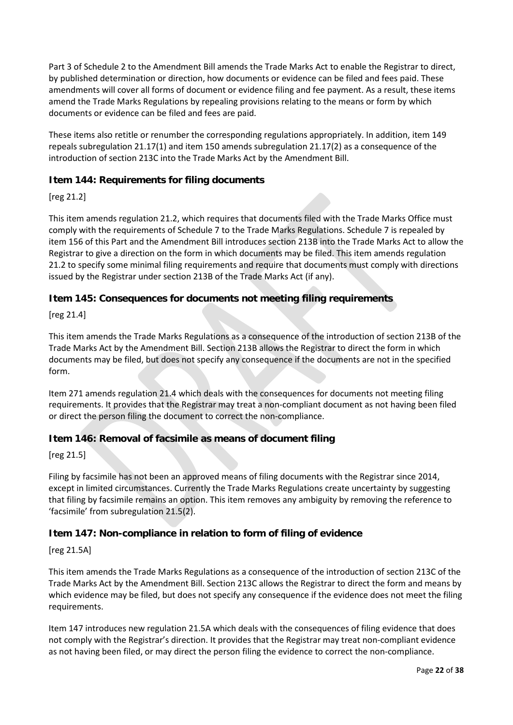Part 3 of Schedule 2 to the Amendment Bill amends the Trade Marks Act to enable the Registrar to direct, by published determination or direction, how documents or evidence can be filed and fees paid. These amendments will cover all forms of document or evidence filing and fee payment. As a result, these items amend the Trade Marks Regulations by repealing provisions relating to the means or form by which documents or evidence can be filed and fees are paid.

These items also retitle or renumber the corresponding regulations appropriately. In addition, item 149 repeals subregulation 21.17(1) and item 150 amends subregulation 21.17(2) as a consequence of the introduction of section 213C into the Trade Marks Act by the Amendment Bill.

#### **Item 144: Requirements for filing documents**

[reg 21.2]

This item amends regulation 21.2, which requires that documents filed with the Trade Marks Office must comply with the requirements of Schedule 7 to the Trade Marks Regulations. Schedule 7 is repealed by item 156 of this Part and the Amendment Bill introduces section 213B into the Trade Marks Act to allow the Registrar to give a direction on the form in which documents may be filed. This item amends regulation 21.2 to specify some minimal filing requirements and require that documents must comply with directions issued by the Registrar under section 213B of the Trade Marks Act (if any).

#### **Item 145: Consequences for documents not meeting filing requirements**

[reg 21.4]

This item amends the Trade Marks Regulations as a consequence of the introduction of section 213B of the Trade Marks Act by the Amendment Bill. Section 213B allows the Registrar to direct the form in which documents may be filed, but does not specify any consequence if the documents are not in the specified form.

Item 271 amends regulation 21.4 which deals with the consequences for documents not meeting filing requirements. It provides that the Registrar may treat a non-compliant document as not having been filed or direct the person filing the document to correct the non-compliance.

#### **Item 146: Removal of facsimile as means of document filing**

[reg 21.5]

Filing by facsimile has not been an approved means of filing documents with the Registrar since 2014, except in limited circumstances. Currently the Trade Marks Regulations create uncertainty by suggesting that filing by facsimile remains an option. This item removes any ambiguity by removing the reference to 'facsimile' from subregulation 21.5(2).

#### **Item 147: Non-compliance in relation to form of filing of evidence**

[reg 21.5A]

This item amends the Trade Marks Regulations as a consequence of the introduction of section 213C of the Trade Marks Act by the Amendment Bill. Section 213C allows the Registrar to direct the form and means by which evidence may be filed, but does not specify any consequence if the evidence does not meet the filing requirements.

Item 147 introduces new regulation 21.5A which deals with the consequences of filing evidence that does not comply with the Registrar's direction. It provides that the Registrar may treat non-compliant evidence as not having been filed, or may direct the person filing the evidence to correct the non-compliance.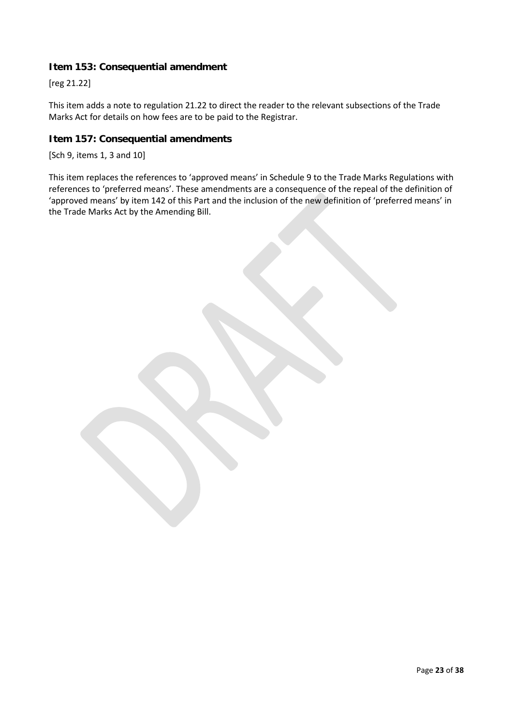#### **Item 153: Consequential amendment**

[reg 21.22]

This item adds a note to regulation 21.22 to direct the reader to the relevant subsections of the Trade Marks Act for details on how fees are to be paid to the Registrar.

#### **Item 157: Consequential amendments**

[Sch 9, items 1, 3 and 10]

This item replaces the references to 'approved means' in Schedule 9 to the Trade Marks Regulations with references to 'preferred means'. These amendments are a consequence of the repeal of the definition of 'approved means' by item 142 of this Part and the inclusion of the new definition of 'preferred means' in the Trade Marks Act by the Amending Bill.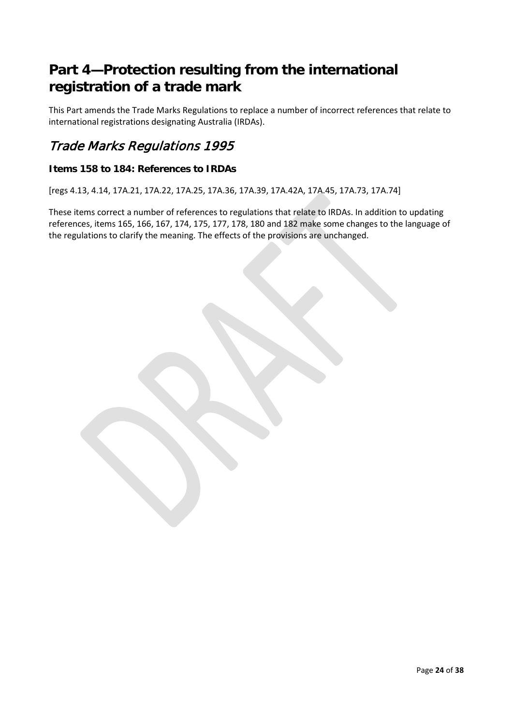# <span id="page-23-0"></span>**Part 4—Protection resulting from the international registration of a trade mark**

This Part amends the Trade Marks Regulations to replace a number of incorrect references that relate to international registrations designating Australia (IRDAs).

### Trade Marks Regulations 1995

#### **Items 158 to 184: References to IRDAs**

[regs 4.13, 4.14, 17A.21, 17A.22, 17A.25, 17A.36, 17A.39, 17A.42A, 17A.45, 17A.73, 17A.74]

These items correct a number of references to regulations that relate to IRDAs. In addition to updating references, items 165, 166, 167, 174, 175, 177, 178, 180 and 182 make some changes to the language of the regulations to clarify the meaning. The effects of the provisions are unchanged.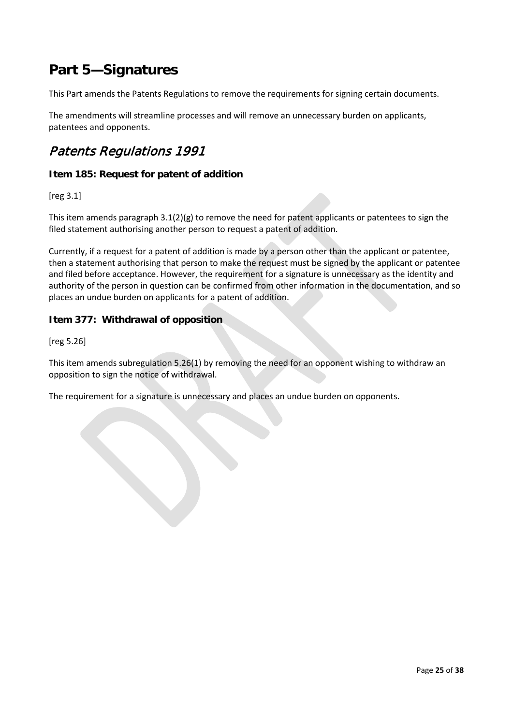# <span id="page-24-0"></span>**Part 5—Signatures**

This Part amends the Patents Regulations to remove the requirements for signing certain documents.

The amendments will streamline processes and will remove an unnecessary burden on applicants, patentees and opponents.

### Patents Regulations 1991

#### **Item 185: Request for patent of addition**

[reg 3.1]

This item amends paragraph 3.1(2)(g) to remove the need for patent applicants or patentees to sign the filed statement authorising another person to request a patent of addition.

Currently, if a request for a patent of addition is made by a person other than the applicant or patentee, then a statement authorising that person to make the request must be signed by the applicant or patentee and filed before acceptance. However, the requirement for a signature is unnecessary as the identity and authority of the person in question can be confirmed from other information in the documentation, and so places an undue burden on applicants for a patent of addition.

#### **Item 377: Withdrawal of opposition**

[reg 5.26]

This item amends subregulation 5.26(1) by removing the need for an opponent wishing to withdraw an opposition to sign the notice of withdrawal.

The requirement for a signature is unnecessary and places an undue burden on opponents.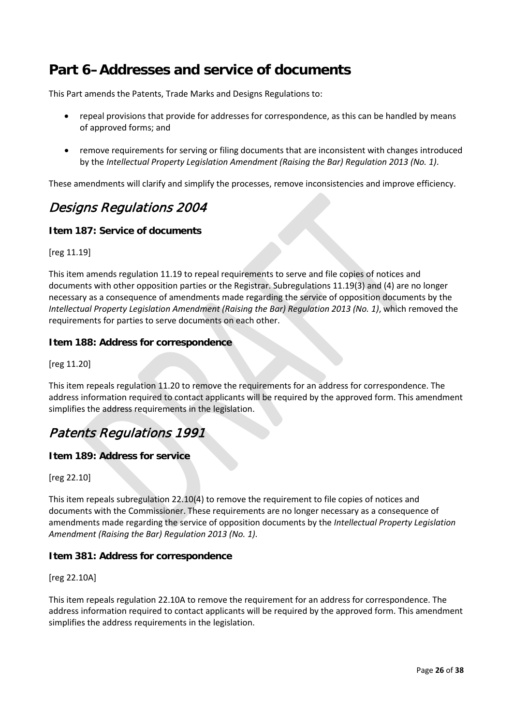# <span id="page-25-0"></span>**Part 6–Addresses and service of documents**

This Part amends the Patents, Trade Marks and Designs Regulations to:

- repeal provisions that provide for addresses for correspondence, as this can be handled by means of approved forms; and
- remove requirements for serving or filing documents that are inconsistent with changes introduced by the *Intellectual Property Legislation Amendment (Raising the Bar) Regulation 2013 (No. 1)*.

These amendments will clarify and simplify the processes, remove inconsistencies and improve efficiency.

### Designs Regulations 2004

#### **Item 187: Service of documents**

[reg 11.19]

This item amends regulation 11.19 to repeal requirements to serve and file copies of notices and documents with other opposition parties or the Registrar. Subregulations 11.19(3) and (4) are no longer necessary as a consequence of amendments made regarding the service of opposition documents by the *Intellectual Property Legislation Amendment (Raising the Bar) Regulation 2013 (No. 1)*, which removed the requirements for parties to serve documents on each other.

#### **Item 188: Address for correspondence**

[reg 11.20]

This item repeals regulation 11.20 to remove the requirements for an address for correspondence. The address information required to contact applicants will be required by the approved form. This amendment simplifies the address requirements in the legislation.

### Patents Regulations 1991

#### **Item 189: Address for service**

[reg 22.10]

This item repeals subregulation 22.10(4) to remove the requirement to file copies of notices and documents with the Commissioner. These requirements are no longer necessary as a consequence of amendments made regarding the service of opposition documents by the *Intellectual Property Legislation Amendment (Raising the Bar) Regulation 2013 (No. 1)*.

#### **Item 381: Address for correspondence**

[reg 22.10A]

This item repeals regulation 22.10A to remove the requirement for an address for correspondence. The address information required to contact applicants will be required by the approved form. This amendment simplifies the address requirements in the legislation.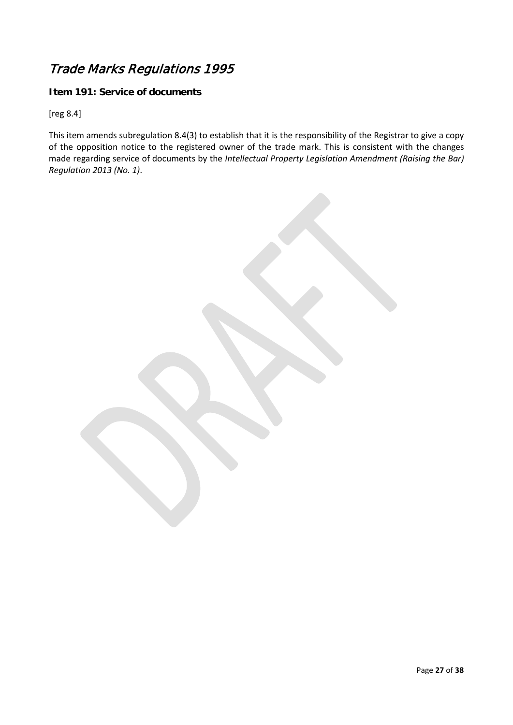## Trade Marks Regulations 1995

#### **Item 191: Service of documents**

[reg 8.4]

This item amends subregulation 8.4(3) to establish that it is the responsibility of the Registrar to give a copy of the opposition notice to the registered owner of the trade mark. This is consistent with the changes made regarding service of documents by the *Intellectual Property Legislation Amendment (Raising the Bar) Regulation 2013 (No. 1)*.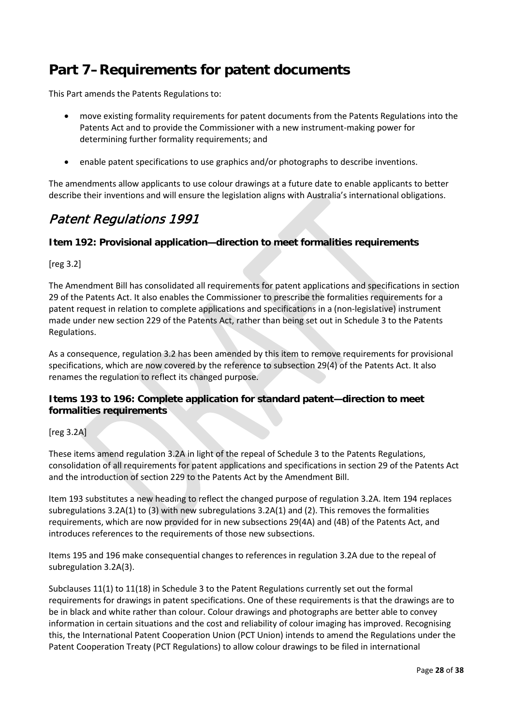# <span id="page-27-0"></span>**Part 7–Requirements for patent documents**

This Part amends the Patents Regulations to:

- move existing formality requirements for patent documents from the Patents Regulations into the Patents Act and to provide the Commissioner with a new instrument-making power for determining further formality requirements; and
- enable patent specifications to use graphics and/or photographs to describe inventions.

The amendments allow applicants to use colour drawings at a future date to enable applicants to better describe their inventions and will ensure the legislation aligns with Australia's international obligations.

### Patent Regulations 1991

#### **Item 192: Provisional application—direction to meet formalities requirements**

[reg 3.2]

The Amendment Bill has consolidated all requirements for patent applications and specifications in section 29 of the Patents Act. It also enables the Commissioner to prescribe the formalities requirements for a patent request in relation to complete applications and specifications in a (non-legislative) instrument made under new section 229 of the Patents Act, rather than being set out in Schedule 3 to the Patents Regulations.

As a consequence, regulation 3.2 has been amended by this item to remove requirements for provisional specifications, which are now covered by the reference to subsection 29(4) of the Patents Act. It also renames the regulation to reflect its changed purpose.

#### **Items 193 to 196: Complete application for standard patent—direction to meet formalities requirements**

[reg 3.2A]

These items amend regulation 3.2A in light of the repeal of Schedule 3 to the Patents Regulations, consolidation of all requirements for patent applications and specifications in section 29 of the Patents Act and the introduction of section 229 to the Patents Act by the Amendment Bill.

Item 193 substitutes a new heading to reflect the changed purpose of regulation 3.2A. Item 194 replaces subregulations 3.2A(1) to (3) with new subregulations 3.2A(1) and (2). This removes the formalities requirements, which are now provided for in new subsections 29(4A) and (4B) of the Patents Act, and introduces references to the requirements of those new subsections.

Items 195 and 196 make consequential changes to references in regulation 3.2A due to the repeal of subregulation 3.2A(3).

Subclauses 11(1) to 11(18) in Schedule 3 to the Patent Regulations currently set out the formal requirements for drawings in patent specifications. One of these requirements is that the drawings are to be in black and white rather than colour. Colour drawings and photographs are better able to convey information in certain situations and the cost and reliability of colour imaging has improved. Recognising this, the International Patent Cooperation Union (PCT Union) intends to amend the Regulations under the Patent Cooperation Treaty (PCT Regulations) to allow colour drawings to be filed in international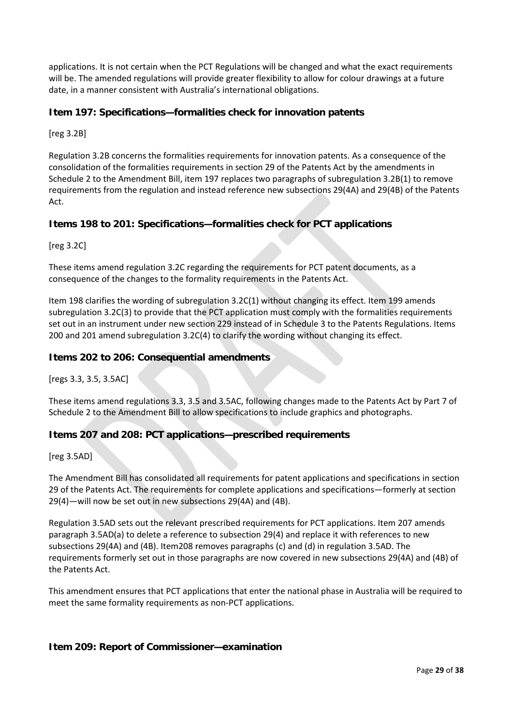applications. It is not certain when the PCT Regulations will be changed and what the exact requirements will be. The amended regulations will provide greater flexibility to allow for colour drawings at a future date, in a manner consistent with Australia's international obligations.

#### **Item 197: Specifications—formalities check for innovation patents**

[reg 3.2B]

Regulation 3.2B concerns the formalities requirements for innovation patents. As a consequence of the consolidation of the formalities requirements in section 29 of the Patents Act by the amendments in Schedule 2 to the Amendment Bill, item 197 replaces two paragraphs of subregulation 3.2B(1) to remove requirements from the regulation and instead reference new subsections 29(4A) and 29(4B) of the Patents Act.

#### **Items 198 to 201: Specifications—formalities check for PCT applications**

[reg 3.2C]

These items amend regulation 3.2C regarding the requirements for PCT patent documents, as a consequence of the changes to the formality requirements in the Patents Act.

Item 198 clarifies the wording of subregulation 3.2C(1) without changing its effect. Item 199 amends subregulation 3.2C(3) to provide that the PCT application must comply with the formalities requirements set out in an instrument under new section 229 instead of in Schedule 3 to the Patents Regulations. Items 200 and 201 amend subregulation 3.2C(4) to clarify the wording without changing its effect.

#### **Items 202 to 206: Consequential amendments**

[regs 3.3, 3.5, 3.5AC]

These items amend regulations 3.3, 3.5 and 3.5AC, following changes made to the Patents Act by Part 7 of Schedule 2 to the Amendment Bill to allow specifications to include graphics and photographs.

#### **Items 207 and 208: PCT applications—prescribed requirements**

[reg 3.5AD]

The Amendment Bill has consolidated all requirements for patent applications and specifications in section 29 of the Patents Act. The requirements for complete applications and specifications—formerly at section 29(4)—will now be set out in new subsections 29(4A) and (4B).

Regulation 3.5AD sets out the relevant prescribed requirements for PCT applications. Item 207 amends paragraph 3.5AD(a) to delete a reference to subsection 29(4) and replace it with references to new subsections 29(4A) and (4B). Item208 removes paragraphs (c) and (d) in regulation 3.5AD. The requirements formerly set out in those paragraphs are now covered in new subsections 29(4A) and (4B) of the Patents Act.

This amendment ensures that PCT applications that enter the national phase in Australia will be required to meet the same formality requirements as non-PCT applications.

#### **Item 209: Report of Commissioner—examination**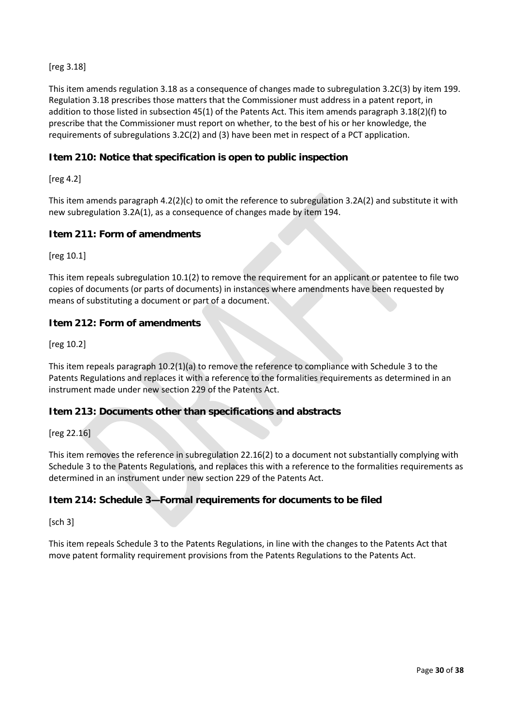#### [reg 3.18]

This item amends regulation 3.18 as a consequence of changes made to subregulation 3.2C(3) by item 199. Regulation 3.18 prescribes those matters that the Commissioner must address in a patent report, in addition to those listed in subsection 45(1) of the Patents Act. This item amends paragraph 3.18(2)(f) to prescribe that the Commissioner must report on whether, to the best of his or her knowledge, the requirements of subregulations 3.2C(2) and (3) have been met in respect of a PCT application.

#### **Item 210: Notice that specification is open to public inspection**

[reg 4.2]

This item amends paragraph  $4.2(2)(c)$  to omit the reference to subregulation 3.2A(2) and substitute it with new subregulation 3.2A(1), as a consequence of changes made by item 194.

#### **Item 211: Form of amendments**

[reg 10.1]

This item repeals subregulation 10.1(2) to remove the requirement for an applicant or patentee to file two copies of documents (or parts of documents) in instances where amendments have been requested by means of substituting a document or part of a document.

#### **Item 212: Form of amendments**

[reg 10.2]

This item repeals paragraph 10.2(1)(a) to remove the reference to compliance with Schedule 3 to the Patents Regulations and replaces it with a reference to the formalities requirements as determined in an instrument made under new section 229 of the Patents Act.

#### **Item 213: Documents other than specifications and abstracts**

[reg 22.16]

This item removes the reference in subregulation 22.16(2) to a document not substantially complying with Schedule 3 to the Patents Regulations, and replaces this with a reference to the formalities requirements as determined in an instrument under new section 229 of the Patents Act.

#### **Item 214: Schedule 3—Formal requirements for documents to be filed**

[sch 3]

This item repeals Schedule 3 to the Patents Regulations, in line with the changes to the Patents Act that move patent formality requirement provisions from the Patents Regulations to the Patents Act.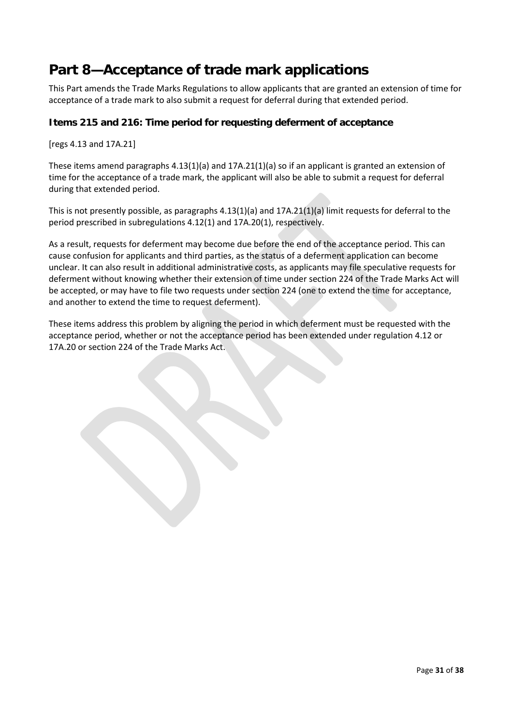# <span id="page-30-0"></span>**Part 8—Acceptance of trade mark applications**

This Part amends the Trade Marks Regulations to allow applicants that are granted an extension of time for acceptance of a trade mark to also submit a request for deferral during that extended period.

#### **Items 215 and 216: Time period for requesting deferment of acceptance**

[regs 4.13 and 17A.21]

These items amend paragraphs 4.13(1)(a) and 17A.21(1)(a) so if an applicant is granted an extension of time for the acceptance of a trade mark, the applicant will also be able to submit a request for deferral during that extended period.

This is not presently possible, as paragraphs 4.13(1)(a) and 17A.21(1)(a) limit requests for deferral to the period prescribed in subregulations 4.12(1) and 17A.20(1), respectively.

As a result, requests for deferment may become due before the end of the acceptance period. This can cause confusion for applicants and third parties, as the status of a deferment application can become unclear. It can also result in additional administrative costs, as applicants may file speculative requests for deferment without knowing whether their extension of time under section 224 of the Trade Marks Act will be accepted, or may have to file two requests under section 224 (one to extend the time for acceptance, and another to extend the time to request deferment).

These items address this problem by aligning the period in which deferment must be requested with the acceptance period, whether or not the acceptance period has been extended under regulation 4.12 or 17A.20 or section 224 of the Trade Marks Act.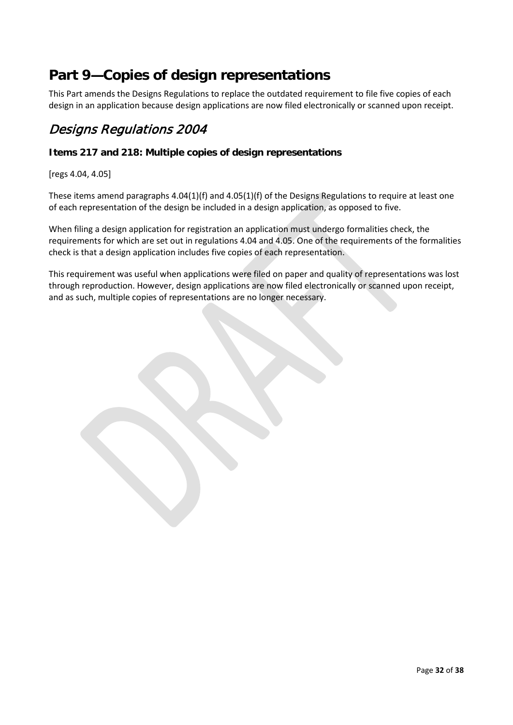# <span id="page-31-0"></span>**Part 9—Copies of design representations**

This Part amends the Designs Regulations to replace the outdated requirement to file five copies of each design in an application because design applications are now filed electronically or scanned upon receipt.

### Designs Regulations 2004

#### **Items 217 and 218: Multiple copies of design representations**

[regs 4.04, 4.05]

These items amend paragraphs 4.04(1)(f) and 4.05(1)(f) of the Designs Regulations to require at least one of each representation of the design be included in a design application, as opposed to five.

When filing a design application for registration an application must undergo formalities check, the requirements for which are set out in regulations 4.04 and 4.05. One of the requirements of the formalities check is that a design application includes five copies of each representation.

This requirement was useful when applications were filed on paper and quality of representations was lost through reproduction. However, design applications are now filed electronically or scanned upon receipt, and as such, multiple copies of representations are no longer necessary.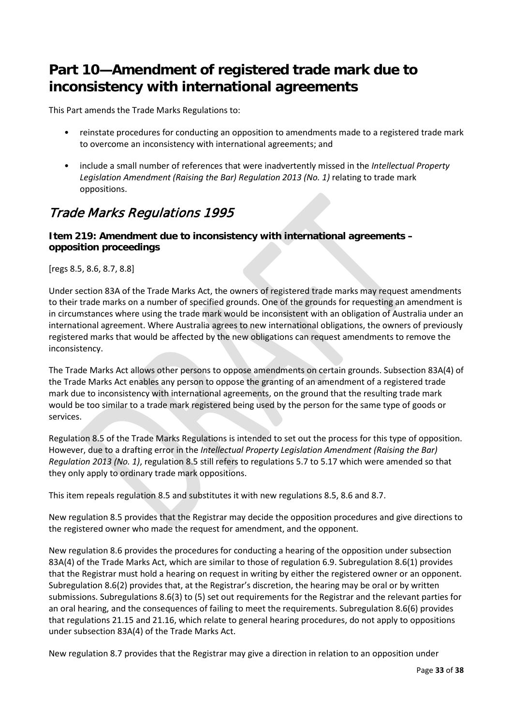# <span id="page-32-0"></span>**Part 10—Amendment of registered trade mark due to inconsistency with international agreements**

This Part amends the Trade Marks Regulations to:

- reinstate procedures for conducting an opposition to amendments made to a registered trade mark to overcome an inconsistency with international agreements; and
- include a small number of references that were inadvertently missed in the *Intellectual Property Legislation Amendment (Raising the Bar) Regulation 2013 (No. 1)* relating to trade mark oppositions.

## Trade Marks Regulations 1995

#### **Item 219: Amendment due to inconsistency with international agreements – opposition proceedings**

[regs 8.5, 8.6, 8.7, 8.8]

Under section 83A of the Trade Marks Act, the owners of registered trade marks may request amendments to their trade marks on a number of specified grounds. One of the grounds for requesting an amendment is in circumstances where using the trade mark would be inconsistent with an obligation of Australia under an international agreement. Where Australia agrees to new international obligations, the owners of previously registered marks that would be affected by the new obligations can request amendments to remove the inconsistency.

The Trade Marks Act allows other persons to oppose amendments on certain grounds. Subsection 83A(4) of the Trade Marks Act enables any person to oppose the granting of an amendment of a registered trade mark due to inconsistency with international agreements, on the ground that the resulting trade mark would be too similar to a trade mark registered being used by the person for the same type of goods or services.

Regulation 8.5 of the Trade Marks Regulations is intended to set out the process for this type of opposition. However, due to a drafting error in the *Intellectual Property Legislation Amendment (Raising the Bar) Regulation 2013 (No. 1)*, regulation 8.5 still refers to regulations 5.7 to 5.17 which were amended so that they only apply to ordinary trade mark oppositions.

This item repeals regulation 8.5 and substitutes it with new regulations 8.5, 8.6 and 8.7.

New regulation 8.5 provides that the Registrar may decide the opposition procedures and give directions to the registered owner who made the request for amendment, and the opponent.

New regulation 8.6 provides the procedures for conducting a hearing of the opposition under subsection 83A(4) of the Trade Marks Act, which are similar to those of regulation 6.9. Subregulation 8.6(1) provides that the Registrar must hold a hearing on request in writing by either the registered owner or an opponent. Subregulation 8.6(2) provides that, at the Registrar's discretion, the hearing may be oral or by written submissions. Subregulations 8.6(3) to (5) set out requirements for the Registrar and the relevant parties for an oral hearing, and the consequences of failing to meet the requirements. Subregulation 8.6(6) provides that regulations 21.15 and 21.16, which relate to general hearing procedures, do not apply to oppositions under subsection 83A(4) of the Trade Marks Act.

New regulation 8.7 provides that the Registrar may give a direction in relation to an opposition under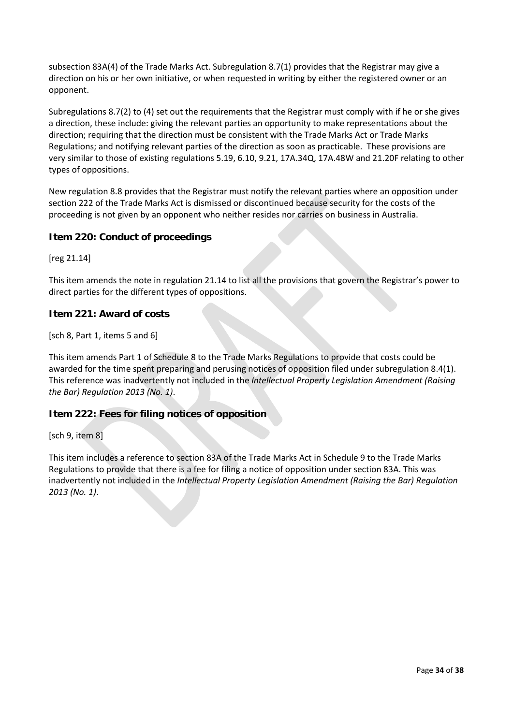subsection 83A(4) of the Trade Marks Act. Subregulation 8.7(1) provides that the Registrar may give a direction on his or her own initiative, or when requested in writing by either the registered owner or an opponent.

Subregulations 8.7(2) to (4) set out the requirements that the Registrar must comply with if he or she gives a direction, these include: giving the relevant parties an opportunity to make representations about the direction; requiring that the direction must be consistent with the Trade Marks Act or Trade Marks Regulations; and notifying relevant parties of the direction as soon as practicable. These provisions are very similar to those of existing regulations 5.19, 6.10, 9.21, 17A.34Q, 17A.48W and 21.20F relating to other types of oppositions.

New regulation 8.8 provides that the Registrar must notify the relevant parties where an opposition under section 222 of the Trade Marks Act is dismissed or discontinued because security for the costs of the proceeding is not given by an opponent who neither resides nor carries on business in Australia.

#### **Item 220: Conduct of proceedings**

[reg 21.14]

This item amends the note in regulation 21.14 to list all the provisions that govern the Registrar's power to direct parties for the different types of oppositions.

#### **Item 221: Award of costs**

[sch 8, Part 1, items 5 and 6]

This item amends Part 1 of Schedule 8 to the Trade Marks Regulations to provide that costs could be awarded for the time spent preparing and perusing notices of opposition filed under subregulation 8.4(1). This reference was inadvertently not included in the *Intellectual Property Legislation Amendment (Raising the Bar) Regulation 2013 (No. 1)*.

#### **Item 222: Fees for filing notices of opposition**

[sch 9, item 8]

This item includes a reference to section 83A of the Trade Marks Act in Schedule 9 to the Trade Marks Regulations to provide that there is a fee for filing a notice of opposition under section 83A. This was inadvertently not included in the *Intellectual Property Legislation Amendment (Raising the Bar) Regulation 2013 (No. 1)*.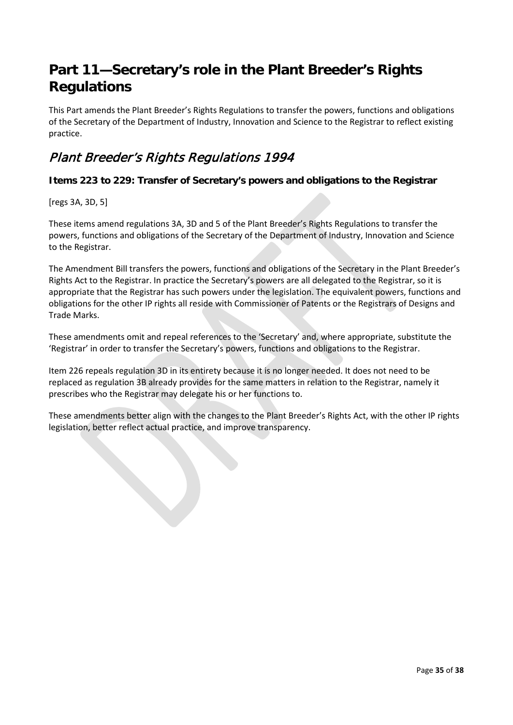# <span id="page-34-0"></span>**Part 11—Secretary's role in the Plant Breeder's Rights Regulations**

This Part amends the Plant Breeder's Rights Regulations to transfer the powers, functions and obligations of the Secretary of the Department of Industry, Innovation and Science to the Registrar to reflect existing practice.

## Plant Breeder's Rights Regulations 1994

#### **Items 223 to 229: Transfer of Secretary's powers and obligations to the Registrar**

[regs 3A, 3D, 5]

These items amend regulations 3A, 3D and 5 of the Plant Breeder's Rights Regulations to transfer the powers, functions and obligations of the Secretary of the Department of Industry, Innovation and Science to the Registrar.

The Amendment Bill transfers the powers, functions and obligations of the Secretary in the Plant Breeder's Rights Act to the Registrar. In practice the Secretary's powers are all delegated to the Registrar, so it is appropriate that the Registrar has such powers under the legislation. The equivalent powers, functions and obligations for the other IP rights all reside with Commissioner of Patents or the Registrars of Designs and Trade Marks.

These amendments omit and repeal references to the 'Secretary' and, where appropriate, substitute the 'Registrar' in order to transfer the Secretary's powers, functions and obligations to the Registrar.

Item 226 repeals regulation 3D in its entirety because it is no longer needed. It does not need to be replaced as regulation 3B already provides for the same matters in relation to the Registrar, namely it prescribes who the Registrar may delegate his or her functions to.

These amendments better align with the changes to the Plant Breeder's Rights Act, with the other IP rights legislation, better reflect actual practice, and improve transparency.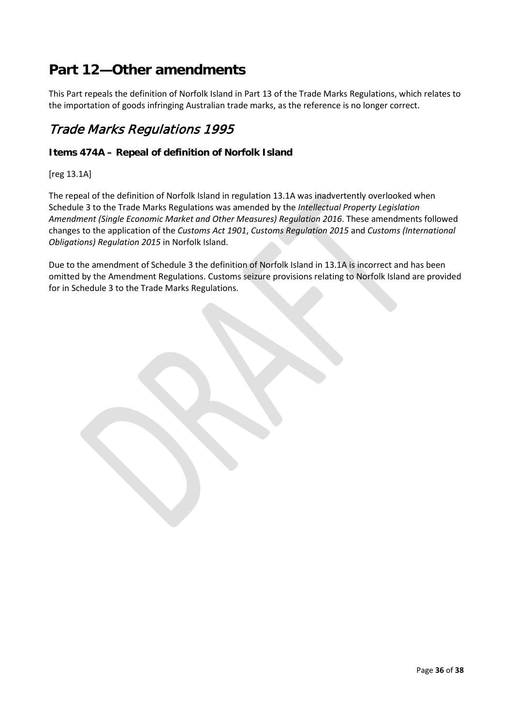# <span id="page-35-0"></span>**Part 12—Other amendments**

This Part repeals the definition of Norfolk Island in Part 13 of the Trade Marks Regulations, which relates to the importation of goods infringing Australian trade marks, as the reference is no longer correct.

### Trade Marks Regulations 1995

#### **Items 474A – Repeal of definition of Norfolk Island**

[reg 13.1A]

The repeal of the definition of Norfolk Island in regulation 13.1A was inadvertently overlooked when Schedule 3 to the Trade Marks Regulations was amended by the *Intellectual Property Legislation Amendment (Single Economic Market and Other Measures) Regulation 2016*. These amendments followed changes to the application of the *Customs Act 1901*, *Customs Regulation 2015* and *Customs (International Obligations) Regulation 2015* in Norfolk Island.

Due to the amendment of Schedule 3 the definition of Norfolk Island in 13.1A is incorrect and has been omitted by the Amendment Regulations. Customs seizure provisions relating to Norfolk Island are provided for in Schedule 3 to the Trade Marks Regulations.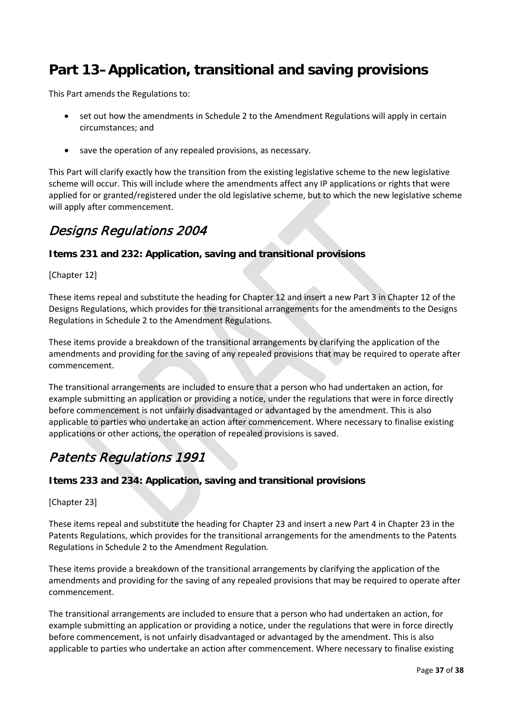# <span id="page-36-0"></span>**Part 13–Application, transitional and saving provisions**

This Part amends the Regulations to:

- set out how the amendments in Schedule 2 to the Amendment Regulations will apply in certain circumstances; and
- save the operation of any repealed provisions, as necessary.

This Part will clarify exactly how the transition from the existing legislative scheme to the new legislative scheme will occur. This will include where the amendments affect any IP applications or rights that were applied for or granted/registered under the old legislative scheme, but to which the new legislative scheme will apply after commencement.

### Designs Regulations 2004

#### **Items 231 and 232: Application, saving and transitional provisions**

[Chapter 12]

These items repeal and substitute the heading for Chapter 12 and insert a new Part 3 in Chapter 12 of the Designs Regulations, which provides for the transitional arrangements for the amendments to the Designs Regulations in Schedule 2 to the Amendment Regulations*.*

These items provide a breakdown of the transitional arrangements by clarifying the application of the amendments and providing for the saving of any repealed provisions that may be required to operate after commencement.

The transitional arrangements are included to ensure that a person who had undertaken an action, for example submitting an application or providing a notice, under the regulations that were in force directly before commencement is not unfairly disadvantaged or advantaged by the amendment. This is also applicable to parties who undertake an action after commencement. Where necessary to finalise existing applications or other actions, the operation of repealed provisions is saved.

### Patents Regulations 1991

#### **Items 233 and 234: Application, saving and transitional provisions**

[Chapter 23]

These items repeal and substitute the heading for Chapter 23 and insert a new Part 4 in Chapter 23 in the Patents Regulations, which provides for the transitional arrangements for the amendments to the Patents Regulations in Schedule 2 to the Amendment Regulation*.*

These items provide a breakdown of the transitional arrangements by clarifying the application of the amendments and providing for the saving of any repealed provisions that may be required to operate after commencement.

The transitional arrangements are included to ensure that a person who had undertaken an action, for example submitting an application or providing a notice, under the regulations that were in force directly before commencement, is not unfairly disadvantaged or advantaged by the amendment. This is also applicable to parties who undertake an action after commencement. Where necessary to finalise existing